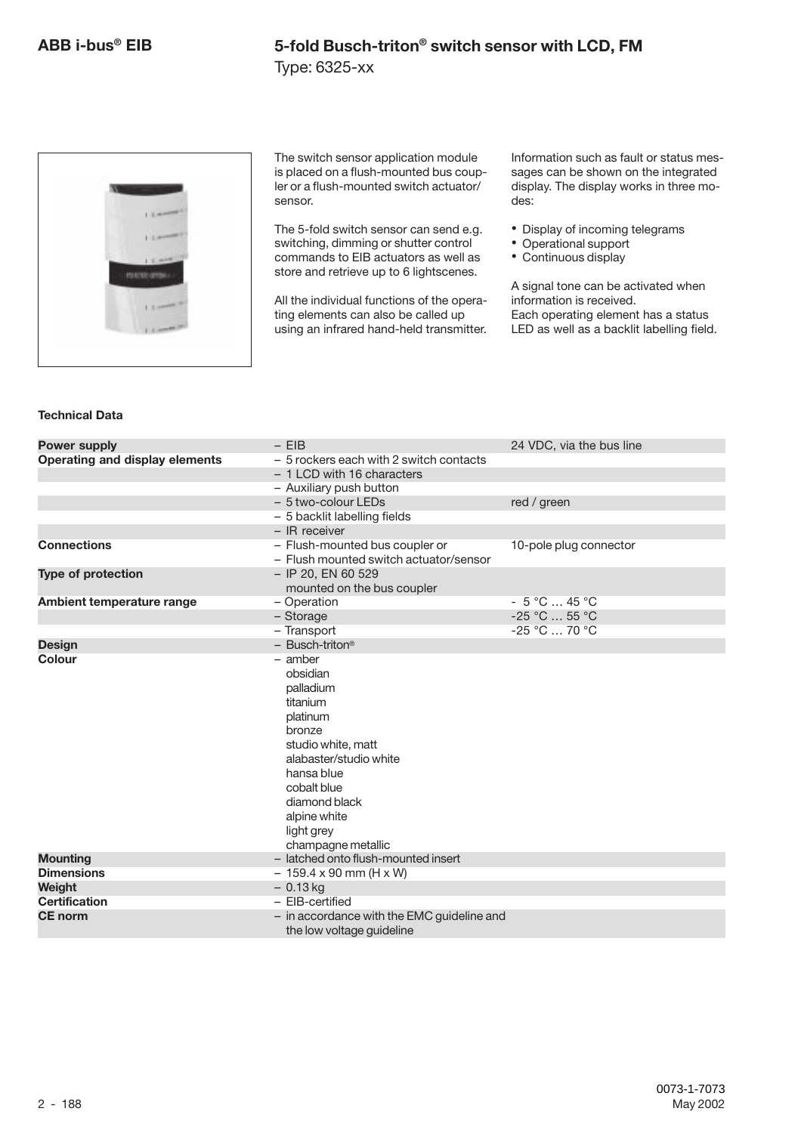Type: 6325-xx



The switch sensor application module is placed on a flush-mounted bus coupler or a flush-mounted switch actuator/ sensor.

The 5-fold switch sensor can send e.g. switching, dimming or shutter control commands to EIB actuators as well as store and retrieve up to 6 lightscenes.

All the individual functions of the operating elements can also be called up using an infrared hand-held transmitter. Information such as fault or status messages can be shown on the integrated display. The display works in three modes:

- Display of incoming telegrams
- Operational support
- Continuous display

A signal tone can be activated when information is received. Each operating element has a status LED as well as a backlit labelling field.

#### **Technical Data**

| <b>Power supply</b>                  | $-$ EIB                                                   | 24 VDC, via the bus line |
|--------------------------------------|-----------------------------------------------------------|--------------------------|
| Operating and display elements       | - 5 rockers each with 2 switch contacts                   |                          |
|                                      | - 1 LCD with 16 characters                                |                          |
|                                      | - Auxiliary push button                                   |                          |
|                                      | - 5 two-colour LEDs                                       | red / green              |
|                                      | - 5 backlit labelling fields                              |                          |
|                                      | $-$ IR receiver                                           |                          |
| <b>Connections</b>                   | - Flush-mounted bus coupler or                            | 10-pole plug connector   |
|                                      | - Flush mounted switch actuator/sensor                    |                          |
| Type of protection                   | $-$ IP 20, EN 60 529                                      |                          |
|                                      | mounted on the bus coupler                                |                          |
| Ambient temperature range            | - Operation                                               | $-5 °C  45 °C$           |
|                                      | - Storage                                                 | $-25$ °C  55 °C          |
|                                      | - Transport                                               | $-25$ °C  70 °C          |
| <b>Design</b>                        | $-$ Busch-triton <sup>®</sup>                             |                          |
| Colour                               | $-$ amber                                                 |                          |
|                                      | obsidian                                                  |                          |
|                                      | palladium                                                 |                          |
|                                      | titanium                                                  |                          |
|                                      | platinum                                                  |                          |
|                                      | bronze                                                    |                          |
|                                      | studio white, matt                                        |                          |
|                                      | alabaster/studio white                                    |                          |
|                                      | hansa blue                                                |                          |
|                                      | cobalt blue                                               |                          |
|                                      | diamond black                                             |                          |
|                                      | alpine white                                              |                          |
|                                      | light grey                                                |                          |
|                                      | champagne metallic<br>- latched onto flush-mounted insert |                          |
| <b>Mounting</b><br><b>Dimensions</b> |                                                           |                          |
| Weight                               | $-159.4 \times 90$ mm (H x W)<br>$-0.13$ kg               |                          |
| <b>Certification</b>                 | - EIB-certified                                           |                          |
| <b>CE</b> norm                       | - in accordance with the EMC guideline and                |                          |
|                                      |                                                           |                          |
|                                      | the low voltage quideline                                 |                          |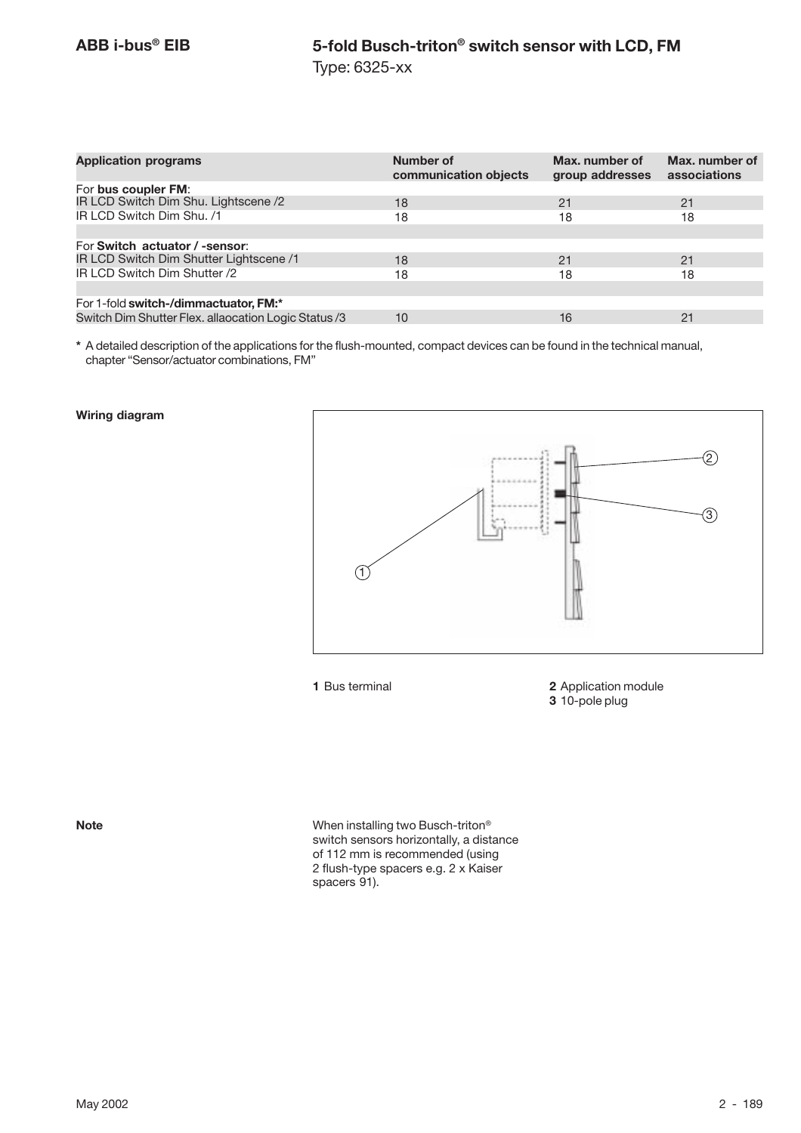| <b>Application programs</b>                          | Number of<br>communication objects | Max. number of<br>group addresses | Max. number of<br>associations |
|------------------------------------------------------|------------------------------------|-----------------------------------|--------------------------------|
| For bus coupler FM:                                  |                                    |                                   |                                |
| IR LCD Switch Dim Shu. Lightscene /2                 | 18                                 | 21                                | 21                             |
| IR LCD Switch Dim Shu. /1                            | 18                                 | 18                                | 18                             |
|                                                      |                                    |                                   |                                |
| For Switch actuator / -sensor:                       |                                    |                                   |                                |
| IR LCD Switch Dim Shutter Lightscene /1              | 18                                 | 21                                | 21                             |
| IR LCD Switch Dim Shutter /2                         | 18                                 | 18                                | 18                             |
|                                                      |                                    |                                   |                                |
| For 1-fold switch-/dimmactuator, FM:*                |                                    |                                   |                                |
| Switch Dim Shutter Flex. allaocation Logic Status /3 | 10                                 | 16                                | 21                             |

**\*** A detailed description of the applications for the flush-mounted, compact devices can be found in the technical manual, chapter "Sensor/actuator combinations, FM"

#### **Wiring diagram**



**1** Bus terminal **2** Application module **3** 10-pole plug

**Note** When installing two Busch-triton*®* switch sensors horizontally, a distance of 112 mm is recommended (using 2 flush-type spacers e.g. 2 x Kaiser spacers 91).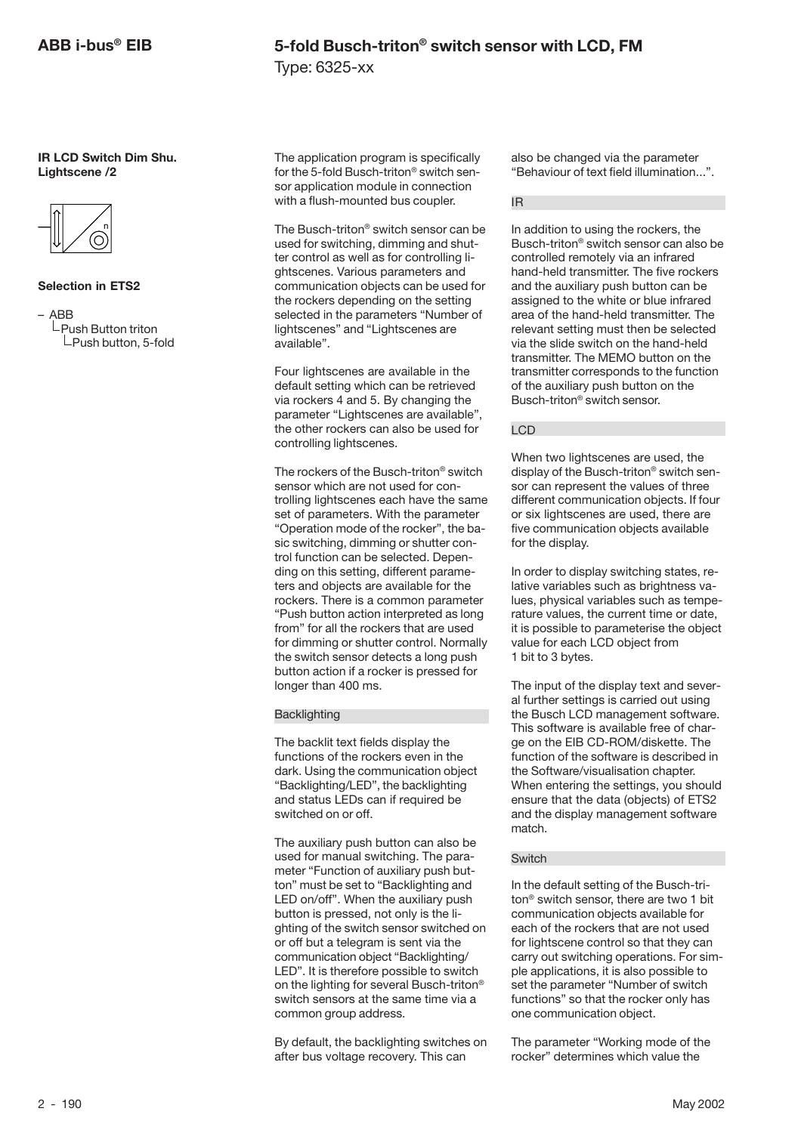**IR LCD Switch Dim Shu. Lightscene /2**



#### **Selection in ETS2**

– ABB

 $L$ Push Button triton  $L$ Push button, 5-fold The application program is specifically for the 5-fold Busch-triton® switch sensor application module in connection with a flush-mounted bus coupler.

The Busch-triton® switch sensor can be used for switching, dimming and shutter control as well as for controlling lightscenes. Various parameters and communication objects can be used for the rockers depending on the setting selected in the parameters "Number of lightscenes" and "Lightscenes are available".

Four lightscenes are available in the default setting which can be retrieved via rockers 4 and 5. By changing the parameter "Lightscenes are available", the other rockers can also be used for controlling lightscenes.

The rockers of the Busch-triton® switch sensor which are not used for controlling lightscenes each have the same set of parameters. With the parameter "Operation mode of the rocker", the basic switching, dimming or shutter control function can be selected. Depending on this setting, different parameters and objects are available for the rockers. There is a common parameter "Push button action interpreted as long from" for all the rockers that are used for dimming or shutter control. Normally the switch sensor detects a long push button action if a rocker is pressed for longer than 400 ms.

#### **Backlighting**

The backlit text fields display the functions of the rockers even in the dark. Using the communication object "Backlighting/LED", the backlighting and status LEDs can if required be switched on or off.

The auxiliary push button can also be used for manual switching. The parameter "Function of auxiliary push button" must be set to "Backlighting and LED on/off". When the auxiliary push button is pressed, not only is the lighting of the switch sensor switched on or off but a telegram is sent via the communication object "Backlighting/ LED". It is therefore possible to switch on the lighting for several Busch-triton® switch sensors at the same time via a common group address.

By default, the backlighting switches on after bus voltage recovery. This can

also be changed via the parameter "Behaviour of text field illumination...".

#### IR

In addition to using the rockers, the Busch-triton® switch sensor can also be controlled remotely via an infrared hand-held transmitter. The five rockers and the auxiliary push button can be assigned to the white or blue infrared area of the hand-held transmitter. The relevant setting must then be selected via the slide switch on the hand-held transmitter. The MEMO button on the transmitter corresponds to the function of the auxiliary push button on the Busch-triton® switch sensor.

#### LCD

When two lightscenes are used, the display of the Busch-triton® switch sensor can represent the values of three different communication objects. If four or six lightscenes are used, there are five communication objects available for the display.

In order to display switching states, relative variables such as brightness values, physical variables such as temperature values, the current time or date, it is possible to parameterise the object value for each LCD object from 1 bit to 3 bytes.

The input of the display text and several further settings is carried out using the Busch LCD management software. This software is available free of charge on the EIB CD-ROM/diskette. The function of the software is described in the Software/visualisation chapter. When entering the settings, you should ensure that the data (objects) of ETS2 and the display management software match.

#### **Switch**

In the default setting of the Busch-triton® switch sensor, there are two 1 bit communication objects available for each of the rockers that are not used for lightscene control so that they can carry out switching operations. For simple applications, it is also possible to set the parameter "Number of switch functions" so that the rocker only has one communication object.

The parameter "Working mode of the rocker" determines which value the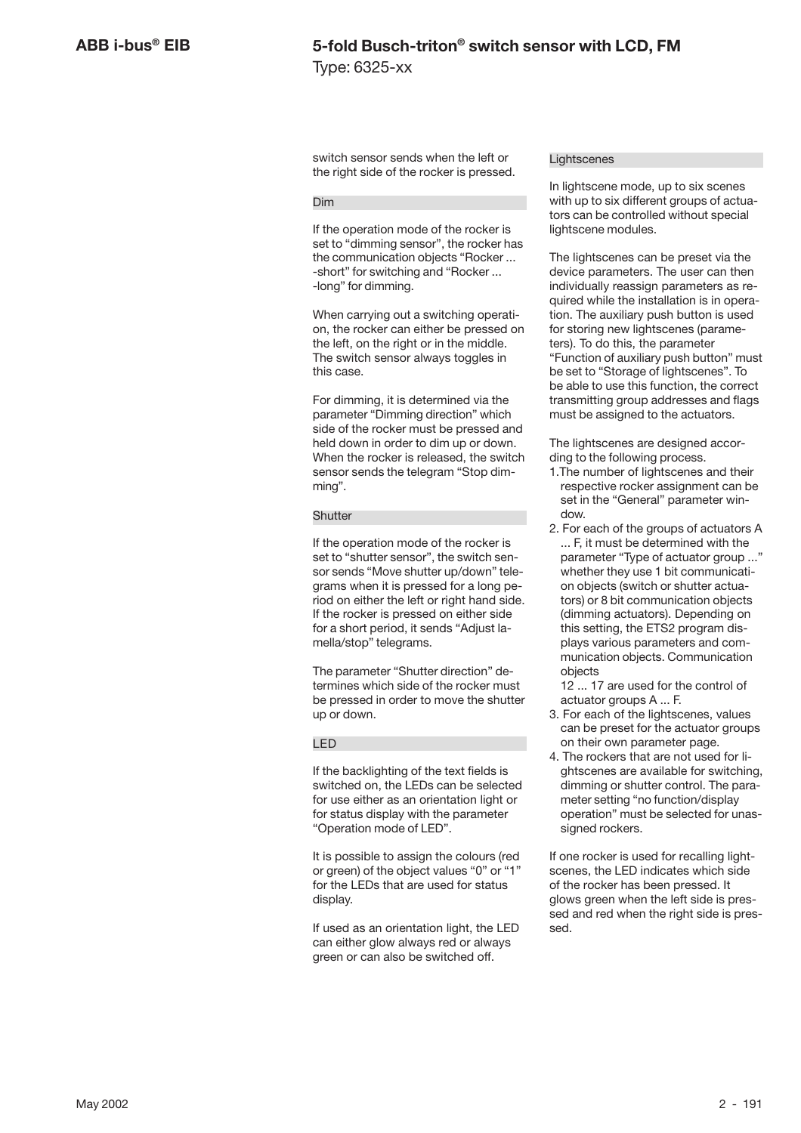switch sensor sends when the left or the right side of the rocker is pressed.

#### Dim

If the operation mode of the rocker is set to "dimming sensor", the rocker has the communication objects "Rocker ... -short" for switching and "Rocker ... -long" for dimming.

When carrying out a switching operation, the rocker can either be pressed on the left, on the right or in the middle. The switch sensor always toggles in this case.

For dimming, it is determined via the parameter "Dimming direction" which side of the rocker must be pressed and held down in order to dim up or down. When the rocker is released, the switch sensor sends the telegram "Stop dimming".

#### **Shutter**

If the operation mode of the rocker is set to "shutter sensor", the switch sensor sends "Move shutter up/down" telegrams when it is pressed for a long period on either the left or right hand side. If the rocker is pressed on either side for a short period, it sends "Adjust lamella/stop" telegrams.

The parameter "Shutter direction" determines which side of the rocker must be pressed in order to move the shutter up or down.

#### LED

If the backlighting of the text fields is switched on, the LEDs can be selected for use either as an orientation light or for status display with the parameter "Operation mode of LED".

It is possible to assign the colours (red or green) of the object values "0" or "1" for the LEDs that are used for status display.

If used as an orientation light, the LED can either glow always red or always green or can also be switched off.

#### **Lightscenes**

In lightscene mode, up to six scenes with up to six different groups of actuators can be controlled without special lightscene modules.

The lightscenes can be preset via the device parameters. The user can then individually reassign parameters as required while the installation is in operation. The auxiliary push button is used for storing new lightscenes (parameters). To do this, the parameter "Function of auxiliary push button" must be set to "Storage of lightscenes". To be able to use this function, the correct transmitting group addresses and flags must be assigned to the actuators.

The lightscenes are designed according to the following process.

- 1.The number of lightscenes and their respective rocker assignment can be set in the "General" parameter window.
- 2. For each of the groups of actuators A ... F, it must be determined with the parameter "Type of actuator group ..." whether they use 1 bit communication objects (switch or shutter actuators) or 8 bit communication objects (dimming actuators). Depending on this setting, the ETS2 program displays various parameters and communication objects. Communication objects

12 ... 17 are used for the control of actuator groups A ... F.

- 3. For each of the lightscenes, values can be preset for the actuator groups on their own parameter page.
- 4. The rockers that are not used for lightscenes are available for switching, dimming or shutter control. The parameter setting "no function/display operation" must be selected for unassigned rockers.

If one rocker is used for recalling lightscenes, the LED indicates which side of the rocker has been pressed. It glows green when the left side is pressed and red when the right side is pressed.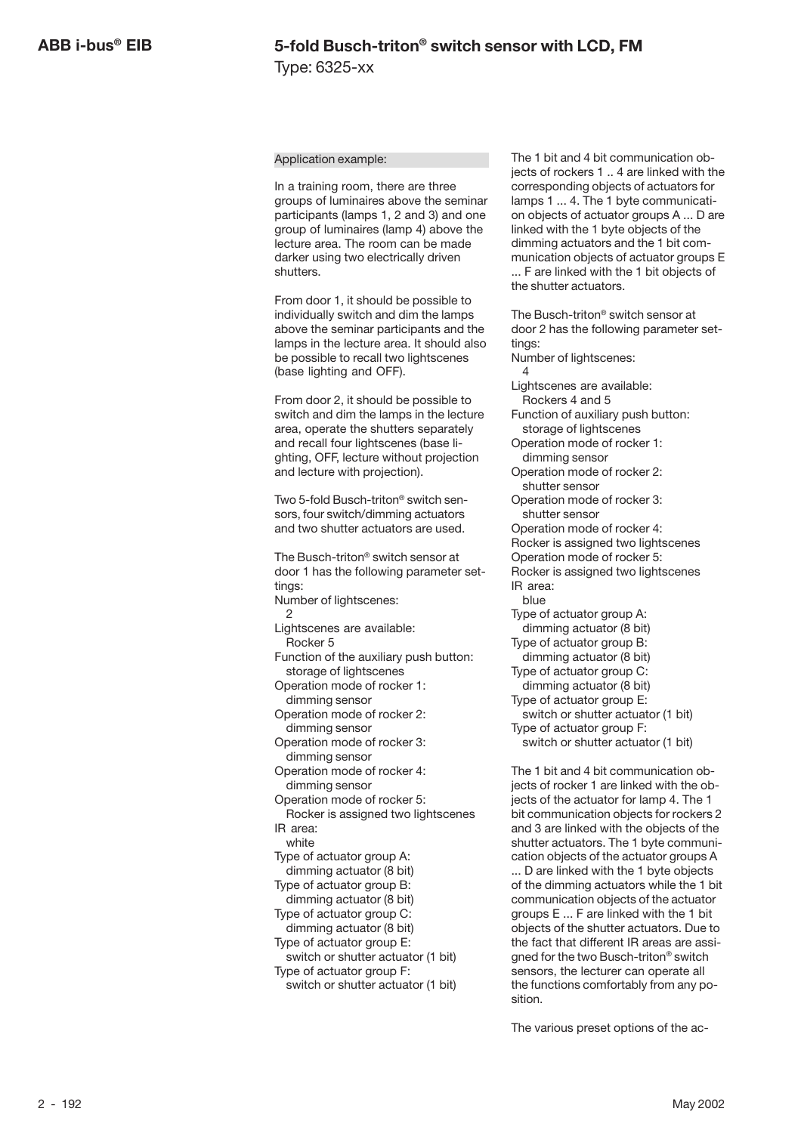#### Application example:

In a training room, there are three groups of luminaires above the seminar participants (lamps 1, 2 and 3) and one group of luminaires (lamp 4) above the lecture area. The room can be made darker using two electrically driven shutters.

From door 1, it should be possible to individually switch and dim the lamps above the seminar participants and the lamps in the lecture area. It should also be possible to recall two lightscenes (base lighting and OFF).

From door 2, it should be possible to switch and dim the lamps in the lecture area, operate the shutters separately and recall four lightscenes (base lighting, OFF, lecture without projection and lecture with projection).

Two 5-fold Busch-triton® switch sensors, four switch/dimming actuators and two shutter actuators are used.

The Busch-triton® switch sensor at door 1 has the following parameter settings: Number of lightscenes:  $\mathcal{D}$ Lightscenes are available: Rocker 5 Function of the auxiliary push button: storage of lightscenes Operation mode of rocker 1: dimming sensor Operation mode of rocker 2: dimming sensor Operation mode of rocker 3: dimming sensor Operation mode of rocker 4: dimming sensor Operation mode of rocker 5: Rocker is assigned two lightscenes IR area: white Type of actuator group A: dimming actuator (8 bit) Type of actuator group B: dimming actuator (8 bit) Type of actuator group C: dimming actuator (8 bit) Type of actuator group E: switch or shutter actuator (1 bit) Type of actuator group F: switch or shutter actuator (1 bit)

The 1 bit and 4 bit communication objects of rockers 1 .. 4 are linked with the corresponding objects of actuators for lamps 1 ... 4. The 1 byte communication objects of actuator groups A ... D are linked with the 1 byte objects of the dimming actuators and the 1 bit communication objects of actuator groups E ... F are linked with the 1 bit objects of the shutter actuators.

The Busch-triton® switch sensor at door 2 has the following parameter settings: Number of lightscenes: 4 Lightscenes are available: Rockers 4 and 5 Function of auxiliary push button: storage of lightscenes Operation mode of rocker 1: dimming sensor Operation mode of rocker 2: shutter sensor Operation mode of rocker 3: shutter sensor Operation mode of rocker 4: Rocker is assigned two lightscenes Operation mode of rocker 5: Rocker is assigned two lightscenes IR area: blue Type of actuator group A: dimming actuator (8 bit) Type of actuator group B: dimming actuator (8 bit) Type of actuator group C: dimming actuator (8 bit) Type of actuator group E: switch or shutter actuator (1 bit) Type of actuator group F: switch or shutter actuator (1 bit)

The 1 bit and 4 bit communication objects of rocker 1 are linked with the objects of the actuator for lamp 4. The 1 bit communication objects for rockers 2 and 3 are linked with the objects of the shutter actuators. The 1 byte communication objects of the actuator groups A

... D are linked with the 1 byte objects of the dimming actuators while the 1 bit communication objects of the actuator groups E ... F are linked with the 1 bit objects of the shutter actuators. Due to the fact that different IR areas are assigned for the two Busch-triton® switch sensors, the lecturer can operate all the functions comfortably from any position.

The various preset options of the ac-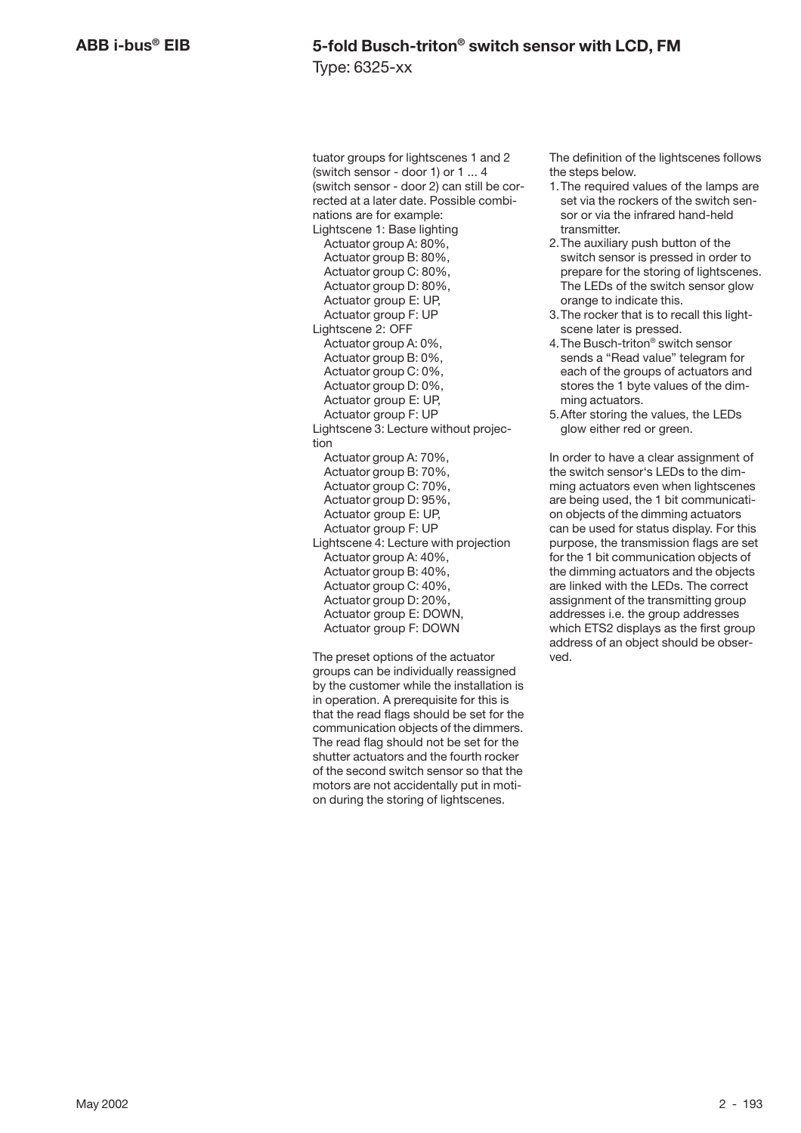tuator groups for lightscenes 1 and 2 (switch sensor - door 1) or 1 ... 4 (switch sensor - door 2) can still be corrected at a later date. Possible combinations are for example: Lightscene 1: Base lighting Actuator group A: 80%, Actuator group B: 80%, Actuator group C: 80%, Actuator group D: 80%, Actuator group E: UP, Actuator group F: UP Lightscene 2: OFF Actuator group A: 0%, Actuator group B: 0%, Actuator group C: 0%, Actuator group D: 0%, Actuator group E: UP, Actuator group F: UP Lightscene 3: Lecture without projection Actuator group A: 70%, Actuator group B: 70%, Actuator group C: 70%, Actuator group D: 95%, Actuator group E: UP, Actuator group F: UP Lightscene 4: Lecture with projection Actuator group A: 40%, Actuator group B: 40%, Actuator group C: 40%. Actuator group D: 20%, Actuator group E: DOWN, Actuator group F: DOWN

The preset options of the actuator groups can be individually reassigned by the customer while the installation is in operation. A prerequisite for this is that the read flags should be set for the communication objects of the dimmers. The read flag should not be set for the shutter actuators and the fourth rocker of the second switch sensor so that the motors are not accidentally put in motion during the storing of lightscenes.

The definition of the lightscenes follows the steps below.

- 1.The required values of the lamps are set via the rockers of the switch sensor or via the infrared hand-held transmitter.
- 2.The auxiliary push button of the switch sensor is pressed in order to prepare for the storing of lightscenes. The LEDs of the switch sensor glow orange to indicate this.
- 3.The rocker that is to recall this lightscene later is pressed.
- 4.The Busch-triton® switch sensor sends a "Read value" telegram for each of the groups of actuators and stores the 1 byte values of the dimming actuators.
- 5.After storing the values, the LEDs glow either red or green.

In order to have a clear assignment of the switch sensor's LEDs to the dimming actuators even when lightscenes are being used, the 1 bit communication objects of the dimming actuators can be used for status display. For this purpose, the transmission flags are set for the 1 bit communication objects of the dimming actuators and the objects are linked with the LEDs. The correct assignment of the transmitting group addresses i.e. the group addresses which ETS2 displays as the first group address of an object should be observed.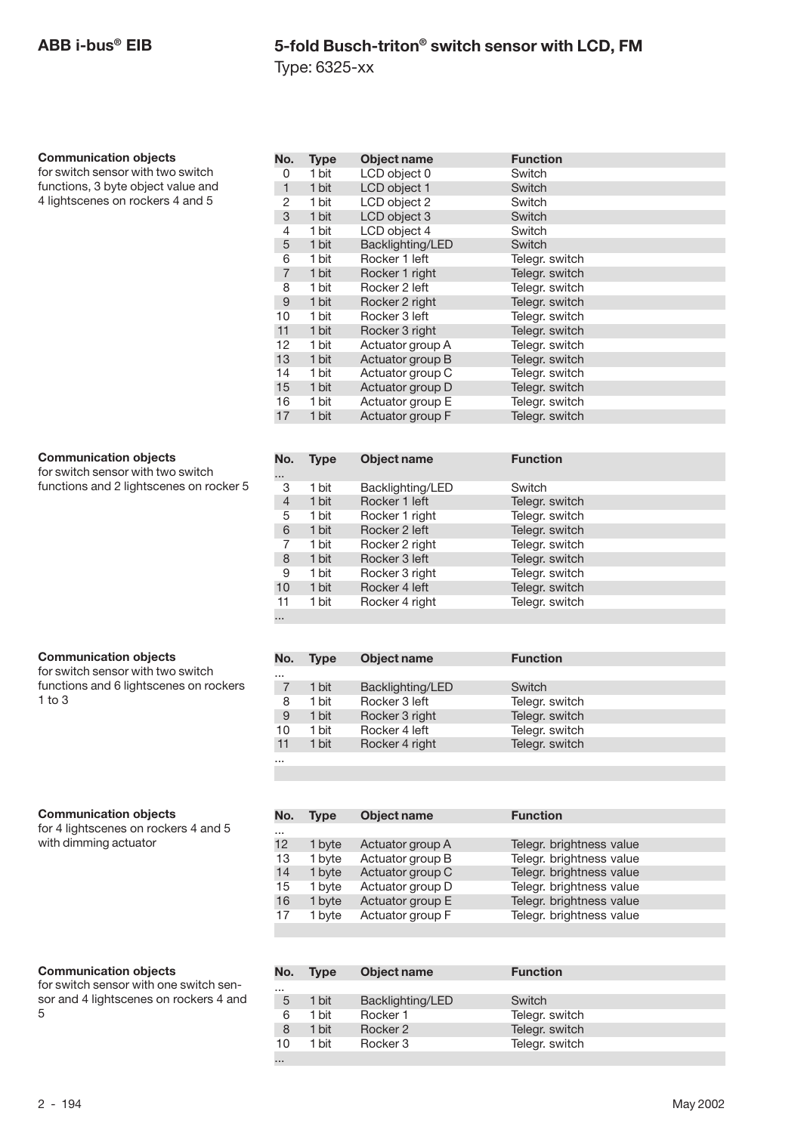Type: 6325-xx

#### **Communication objects**

for switch sensor with two switch functions, 3 byte object value and 4 lightscenes on rockers 4 and 5

#### **Communication objects**

for switch sensor with two switch functions and 2 lightscenes on rocker 5

#### **Communication objects**

for switch sensor with two switch functions and 6 lightscenes on rockers 1 to 3

#### **Communication objects**

for 4 lightscenes on rockers 4 and 5 with dimming actuator

#### **Communication objects**

for switch sensor with one switch sensor and 4 lightscenes on rockers 4 and 5

| No.            | <b>Type</b> | Object name      | <b>Function</b> |  |
|----------------|-------------|------------------|-----------------|--|
| 0              | 1 bit       | LCD object 0     | Switch          |  |
| $\mathbf{1}$   | 1 bit       | LCD object 1     | <b>Switch</b>   |  |
| 2              | 1 bit       | LCD object 2     | Switch          |  |
| 3              | 1 bit       | LCD object 3     | Switch          |  |
| 4              | 1 bit       | LCD object 4     | Switch          |  |
| 5              | 1 bit       | Backlighting/LED | Switch          |  |
| 6              | 1 bit       | Rocker 1 left    | Telegr. switch  |  |
| $\overline{7}$ | 1 bit       | Rocker 1 right   | Telegr. switch  |  |
| 8              | 1 bit       | Rocker 2 left    | Telegr. switch  |  |
| 9              | 1 bit       | Rocker 2 right   | Telegr. switch  |  |
| 10             | 1 bit       | Rocker 3 left    | Telegr. switch  |  |
| 11             | 1 bit       | Rocker 3 right   | Telegr. switch  |  |
| 12             | 1 bit       | Actuator group A | Telegr. switch  |  |
| 13             | 1 bit       | Actuator group B | Telegr. switch  |  |
| 14             | 1 bit       | Actuator group C | Telegr. switch  |  |
| 15             | 1 bit       | Actuator group D | Telegr. switch  |  |
| 16             | 1 bit       | Actuator group E | Telegr. switch  |  |
| 17             | 1 bit       | Actuator group F | Telegr. switch  |  |
|                |             |                  |                 |  |
| No.            | <b>Type</b> | Object name      | <b>Function</b> |  |
|                |             |                  |                 |  |
| 3              | 1 bit       | Backlighting/LED | Switch          |  |
| $\overline{4}$ | 1 bit       | Rocker 1 left    | Telegr. switch  |  |
| 5              | 1 bit       | Rocker 1 right   | Telegr. switch  |  |
|                |             |                  |                 |  |

| 4        | 1 bit | Rocker 1 left  | Telegr. switch |  |
|----------|-------|----------------|----------------|--|
| 5        | 1 bit | Rocker 1 right | Telegr. switch |  |
| 6        | 1 bit | Rocker 2 left  | Telegr. switch |  |
|          | 1 bit | Rocker 2 right | Telegr. switch |  |
| 8        | 1 bit | Rocker 3 left  | Telegr. switch |  |
| 9        | 1 bit | Rocker 3 right | Telegr. switch |  |
| 10       | 1 bit | Rocker 4 left  | Telegr. switch |  |
| 11       | 1 bit | Rocker 4 right | Telegr. switch |  |
| $\cdots$ |       |                |                |  |

| No.      | <b>Type</b> | Object name      | <b>Function</b> |
|----------|-------------|------------------|-----------------|
| $\cdots$ |             |                  |                 |
|          | 1 bit       | Backlighting/LED | Switch          |
| 8        | 1 bit       | Rocker 3 left    | Telegr. switch  |
| 9        | 1 bit       | Rocker 3 right   | Telegr. switch  |
| 10       | 1 bit       | Rocker 4 left    | Telegr. switch  |
| 11       | 1 bit       | Rocker 4 right   | Telegr. switch  |
| $\cdots$ |             |                  |                 |

| No.      | <b>Type</b> | <b>Object name</b> | <b>Function</b>          |  |
|----------|-------------|--------------------|--------------------------|--|
| $\cdots$ |             |                    |                          |  |
| 12       | 1 byte      | Actuator group A   | Telegr. brightness value |  |
| 13       | 1 byte      | Actuator group B   | Telegr. brightness value |  |
| 14       | 1 byte      | Actuator group C   | Telegr. brightness value |  |
| 15       | 1 byte      | Actuator group D   | Telegr. brightness value |  |
| 16       | 1 byte      | Actuator group E   | Telegr. brightness value |  |
| 17       | 1 byte      | Actuator group F   | Telegr. brightness value |  |

|          | No. | <b>Type</b> | Object name      | <b>Function</b> |
|----------|-----|-------------|------------------|-----------------|
| $\cdots$ |     |             |                  |                 |
|          | 5   | 1 bit       | Backlighting/LED | Switch          |
|          | 6   | 1 bit       | Rocker 1         | Telegr. switch  |
|          | 8   | 1 bit       | Rocker 2         | Telegr. switch  |
|          | 10  | 1 bit       | Rocker 3         | Telegr. switch  |
| $\cdots$ |     |             |                  |                 |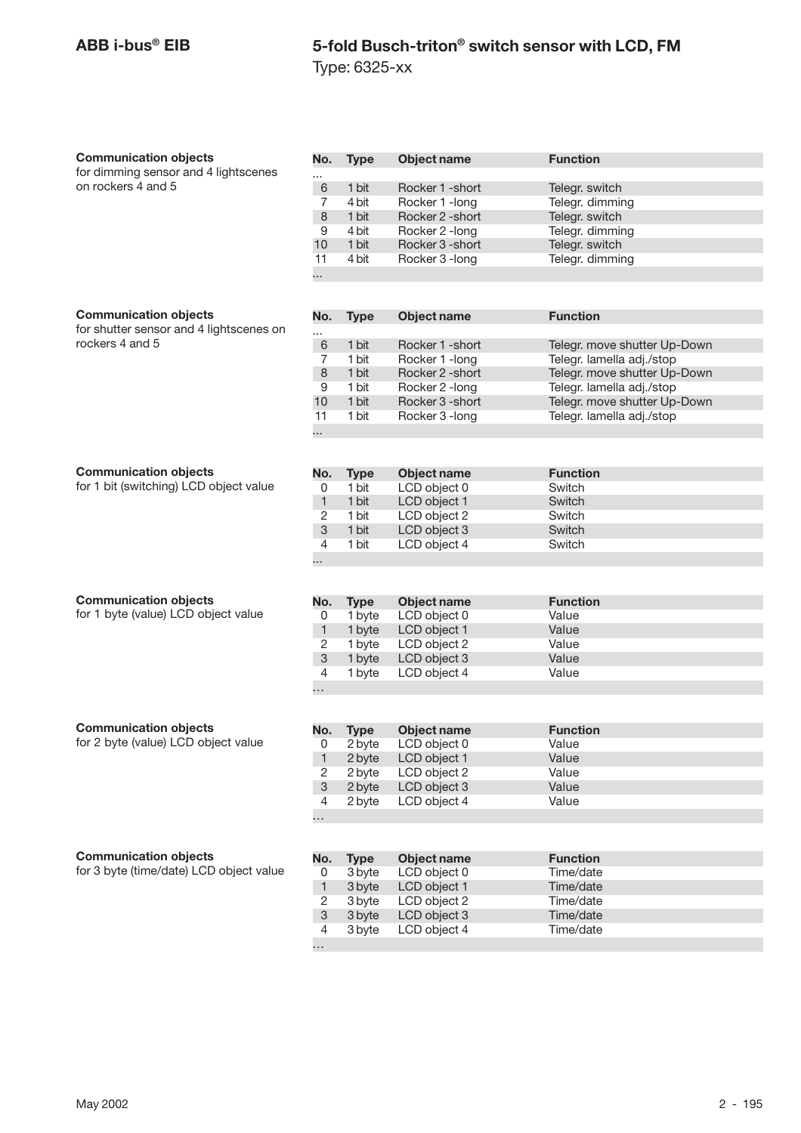Type: 6325-xx

| <b>Communication objects</b>            | No.            | <b>Type</b> | Object name        | <b>Function</b>              |
|-----------------------------------------|----------------|-------------|--------------------|------------------------------|
| for dimming sensor and 4 lightscenes    |                |             |                    |                              |
| on rockers 4 and 5                      | 6              | 1 bit       | Rocker 1 - short   | Telegr. switch               |
|                                         | $\overline{7}$ | 4 bit       | Rocker 1 - long    | Telegr. dimming              |
|                                         | 8              | 1 bit       | Rocker 2 - short   | Telegr. switch               |
|                                         | 9              | 4 bit       | Rocker 2 - long    | Telegr. dimming              |
|                                         | 10             | 1 bit       | Rocker 3 - short   | Telegr. switch               |
|                                         | 11             | 4 bit       | Rocker 3 - long    | Telegr. dimming              |
|                                         | .              |             |                    |                              |
|                                         |                |             |                    |                              |
|                                         |                |             |                    |                              |
| <b>Communication objects</b>            | No.            | <b>Type</b> | <b>Object name</b> | <b>Function</b>              |
| for shutter sensor and 4 lightscenes on |                |             |                    |                              |
| rockers 4 and 5                         | 6              | 1 bit       | Rocker 1 - short   | Telegr. move shutter Up-Down |
|                                         | 7              | 1 bit       | Rocker 1 - long    | Telegr. lamella adj./stop    |
|                                         | 8              | 1 bit       | Rocker 2 - short   | Telegr. move shutter Up-Down |
|                                         | 9              | 1 bit       | Rocker 2 - long    | Telegr. lamella adj./stop    |
|                                         | 10             | 1 bit       | Rocker 3 -short    | Telegr. move shutter Up-Down |
|                                         | 11             | 1 bit       | Rocker 3 - long    | Telegr. lamella adj./stop    |
|                                         |                |             |                    |                              |
|                                         |                |             |                    |                              |
|                                         |                |             |                    |                              |
| <b>Communication objects</b>            | No.            | <b>Type</b> | Object name        | <b>Function</b>              |
| for 1 bit (switching) LCD object value  | 0              | 1 bit       | LCD object 0       | Switch                       |
|                                         | $\mathbf{1}$   | 1 bit       | LCD object 1       | Switch                       |
|                                         | $\overline{2}$ | 1 bit       | LCD object 2       | Switch                       |
|                                         | $\mathbf{3}$   | 1 bit       | LCD object 3       | Switch                       |
|                                         | $\overline{4}$ | 1 bit       | LCD object 4       | Switch                       |
|                                         |                |             |                    |                              |
|                                         |                |             |                    |                              |
|                                         |                |             |                    |                              |
| <b>Communication objects</b>            | No.            | <b>Type</b> | Object name        | <b>Function</b>              |
| for 1 byte (value) LCD object value     | 0              | 1 byte      | LCD object 0       | Value                        |
|                                         | $\mathbf{1}$   | 1 byte      | LCD object 1       | Value                        |
|                                         | 2              | 1 byte      | LCD object 2       | Value                        |
|                                         | $\mathfrak{S}$ | 1 byte      | LCD object 3       | Value                        |
|                                         | 4              | 1 byte      | LCD object 4       | Value                        |
|                                         | .              |             |                    |                              |
|                                         |                |             |                    |                              |
|                                         |                |             |                    |                              |
| <b>Communication objects</b>            | No.            | <b>Type</b> | Object name        | <b>Function</b>              |
| for 2 byte (value) LCD object value     | 0              | 2 byte      | LCD object 0       | Value                        |
|                                         | 1              | 2 byte      | LCD object 1       | Value                        |
|                                         | $\overline{c}$ | 2 byte      | LCD object 2       | Value                        |
|                                         | 3              | 2 byte      | LCD object 3       | Value                        |
|                                         | 4              | 2 byte      | LCD object 4       | Value                        |
|                                         | .              |             |                    |                              |
|                                         |                |             |                    |                              |
|                                         |                |             |                    |                              |
| <b>Communication objects</b>            | No.            | <b>Type</b> | Object name        | <b>Function</b>              |
| for 3 byte (time/date) LCD object value | 0              | 3 byte      | LCD object 0       | Time/date                    |
|                                         | 1              | 3 byte      | LCD object 1       | Time/date                    |
|                                         | 2              | 3 byte      | LCD object 2       | Time/date                    |
|                                         | 3              | 3 byte      | LCD object 3       | Time/date                    |
|                                         | 4              | 3 byte      | LCD object 4       | Time/date                    |
|                                         | .              |             |                    |                              |
|                                         |                |             |                    |                              |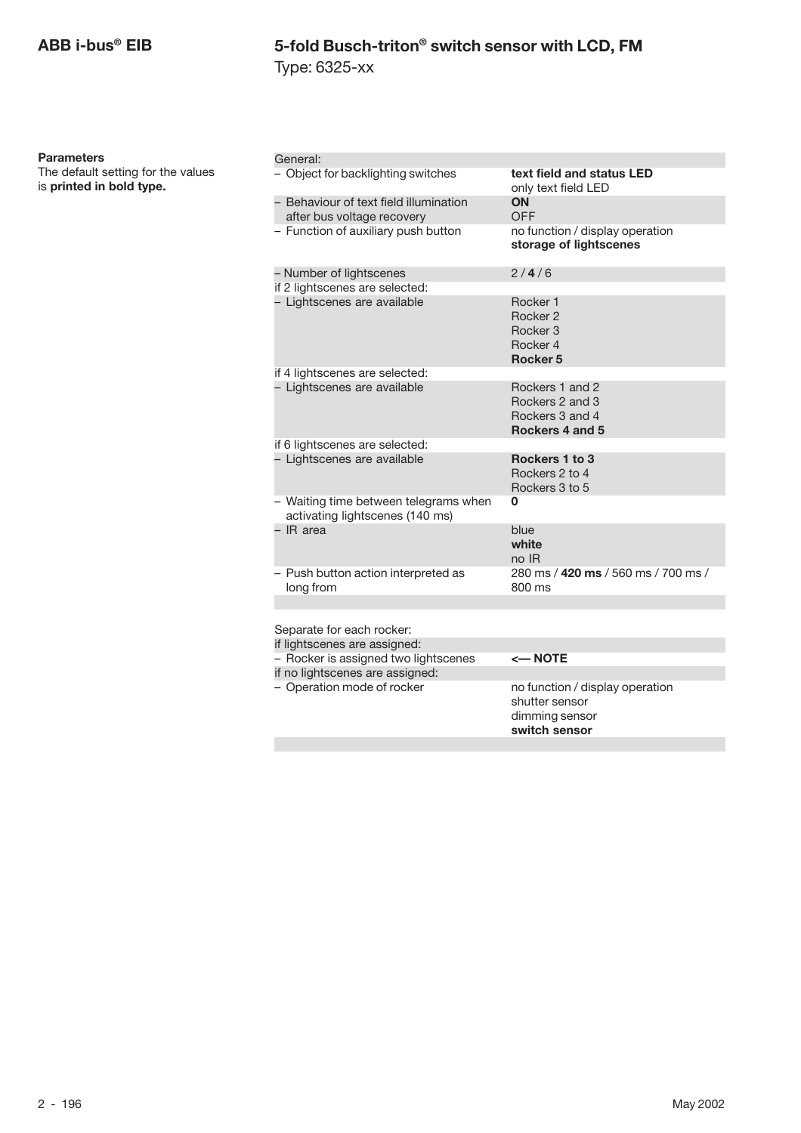**Parameters**

The default setting for the values

is **printed in bold type.**

Type: 6325-xx

| General:                                                                 |                                                                                      |
|--------------------------------------------------------------------------|--------------------------------------------------------------------------------------|
| - Object for backlighting switches                                       | text field and status LED<br>only text field LED                                     |
| - Behaviour of text field illumination<br>after bus voltage recovery     | <b>ON</b><br>OFF                                                                     |
| - Function of auxiliary push button                                      | no function / display operation<br>storage of lightscenes                            |
| - Number of lightscenes                                                  | 2/4/6                                                                                |
| if 2 lightscenes are selected:                                           |                                                                                      |
| - Lightscenes are available                                              | Rocker 1<br>Rocker 2<br>Rocker <sub>3</sub><br>Rocker 4<br>Rocker <sub>5</sub>       |
| if 4 lightscenes are selected:                                           |                                                                                      |
| - Lightscenes are available                                              | Rockers 1 and 2<br>Rockers 2 and 3<br>Rockers 3 and 4<br>Rockers 4 and 5             |
| if 6 lightscenes are selected:                                           |                                                                                      |
| - Lightscenes are available                                              | Rockers 1 to 3<br>Rockers 2 to 4<br>Rockers 3 to 5                                   |
| - Waiting time between telegrams when<br>activating lightscenes (140 ms) | 0                                                                                    |
| - IR area                                                                | blue<br>white<br>no IR                                                               |
| - Push button action interpreted as<br>long from                         | 280 ms / 420 ms / 560 ms / 700 ms /<br>800 ms                                        |
|                                                                          |                                                                                      |
| Separate for each rocker:                                                |                                                                                      |
| if lightscenes are assigned:                                             |                                                                                      |
| - Rocker is assigned two lightscenes                                     | <— NOTE                                                                              |
| if no lightscenes are assigned:                                          |                                                                                      |
| - Operation mode of rocker                                               | no function / display operation<br>shutter sensor<br>dimming sensor<br>switch sensor |
|                                                                          |                                                                                      |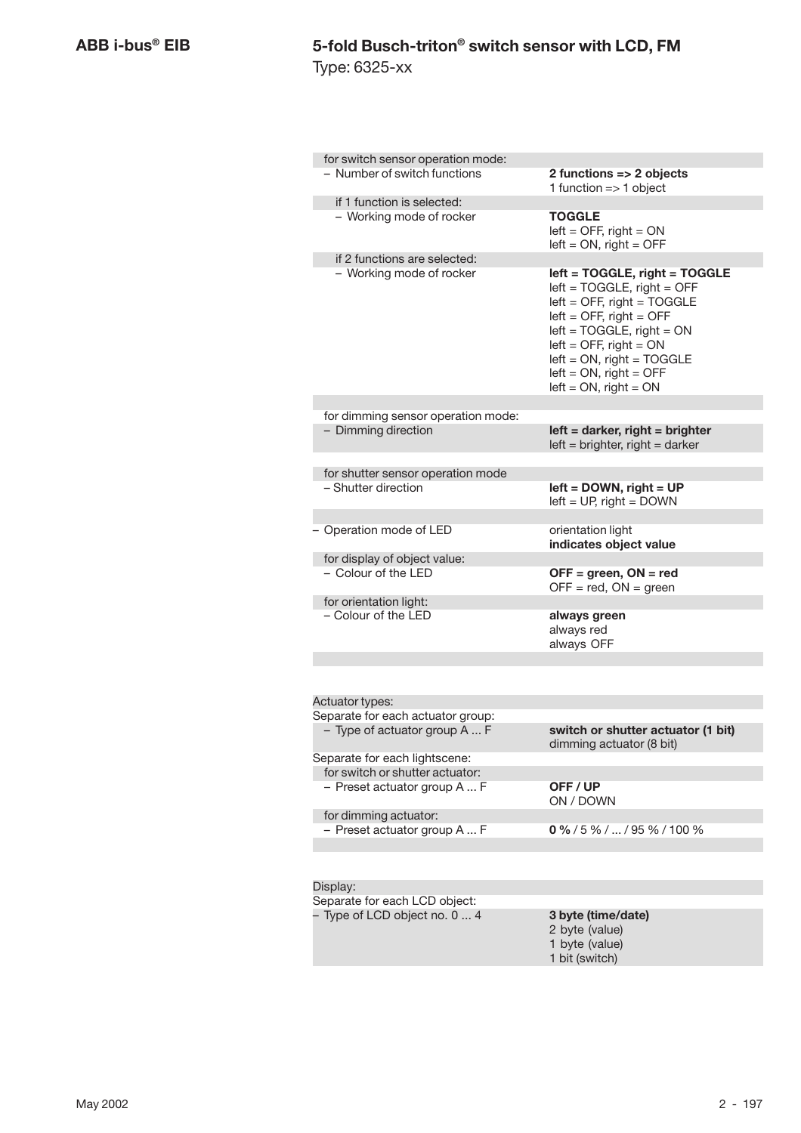| for switch sensor operation mode:                   |                                                                                                                                                                                                                                                                                    |
|-----------------------------------------------------|------------------------------------------------------------------------------------------------------------------------------------------------------------------------------------------------------------------------------------------------------------------------------------|
| - Number of switch functions                        | 2 functions => 2 objects<br>1 function $=> 1$ object                                                                                                                                                                                                                               |
| if 1 function is selected:                          |                                                                                                                                                                                                                                                                                    |
| - Working mode of rocker                            | <b>TOGGLE</b><br>$left =$ OFF, right = ON<br>$left = ON$ , right = OFF                                                                                                                                                                                                             |
| if 2 functions are selected:                        |                                                                                                                                                                                                                                                                                    |
| - Working mode of rocker                            | left = TOGGLE, right = TOGGLE<br>$left = TOGGLE$ , right = OFF<br>$left =$ OFF, right = TOGGLE<br>$left =$ OFF, right = OFF<br>$left = TOGGLE$ , right = $ON$<br>$left =$ OFF, right = ON<br>$left = ON$ , right = TOGGLE<br>$left = ON$ , right = OFF<br>$left = ON$ , right = ON |
| for dimming sensor operation mode:                  |                                                                                                                                                                                                                                                                                    |
| - Dimming direction                                 | $left =$ darker, right = brighter<br>$left = brighter$ , right = darker                                                                                                                                                                                                            |
| for shutter sensor operation mode                   |                                                                                                                                                                                                                                                                                    |
| - Shutter direction                                 | $left =$ DOWN, right = UP<br>$left = UP$ , right = DOWN                                                                                                                                                                                                                            |
| - Operation mode of LED                             | orientation light                                                                                                                                                                                                                                                                  |
|                                                     | indicates object value                                                                                                                                                                                                                                                             |
| for display of object value:<br>- Colour of the LED |                                                                                                                                                                                                                                                                                    |
|                                                     | $OFF = green, ON = red$<br>$OFF = red$ , $ON = green$                                                                                                                                                                                                                              |
| for orientation light:                              |                                                                                                                                                                                                                                                                                    |
| - Colour of the LED                                 | always green<br>always red<br>always OFF                                                                                                                                                                                                                                           |
|                                                     |                                                                                                                                                                                                                                                                                    |
| Actuator types:                                     |                                                                                                                                                                                                                                                                                    |
| Separate for each actuator group:                   |                                                                                                                                                                                                                                                                                    |
| - Type of actuator group A  F                       | switch or shutter actuator (1 bit)<br>dimming actuator (8 bit)                                                                                                                                                                                                                     |
| Separate for each lightscene:                       |                                                                                                                                                                                                                                                                                    |
| for switch or shutter actuator:                     |                                                                                                                                                                                                                                                                                    |
| - Preset actuator group A  F                        | OFF/UP<br>ON / DOWN                                                                                                                                                                                                                                                                |
| for dimming actuator:                               |                                                                                                                                                                                                                                                                                    |
| - Preset actuator group A  F                        | $0\frac{9}{6}$ / 5 % /  / 95 % / 100 %                                                                                                                                                                                                                                             |
|                                                     |                                                                                                                                                                                                                                                                                    |
| Display:                                            |                                                                                                                                                                                                                                                                                    |
| Separate for each LCD object:                       |                                                                                                                                                                                                                                                                                    |
| - Type of LCD object no. 0  4                       | 3 byte (time/date)                                                                                                                                                                                                                                                                 |
|                                                     | 2 byte (value)<br>1 byte (value)<br>1 bit (switch)                                                                                                                                                                                                                                 |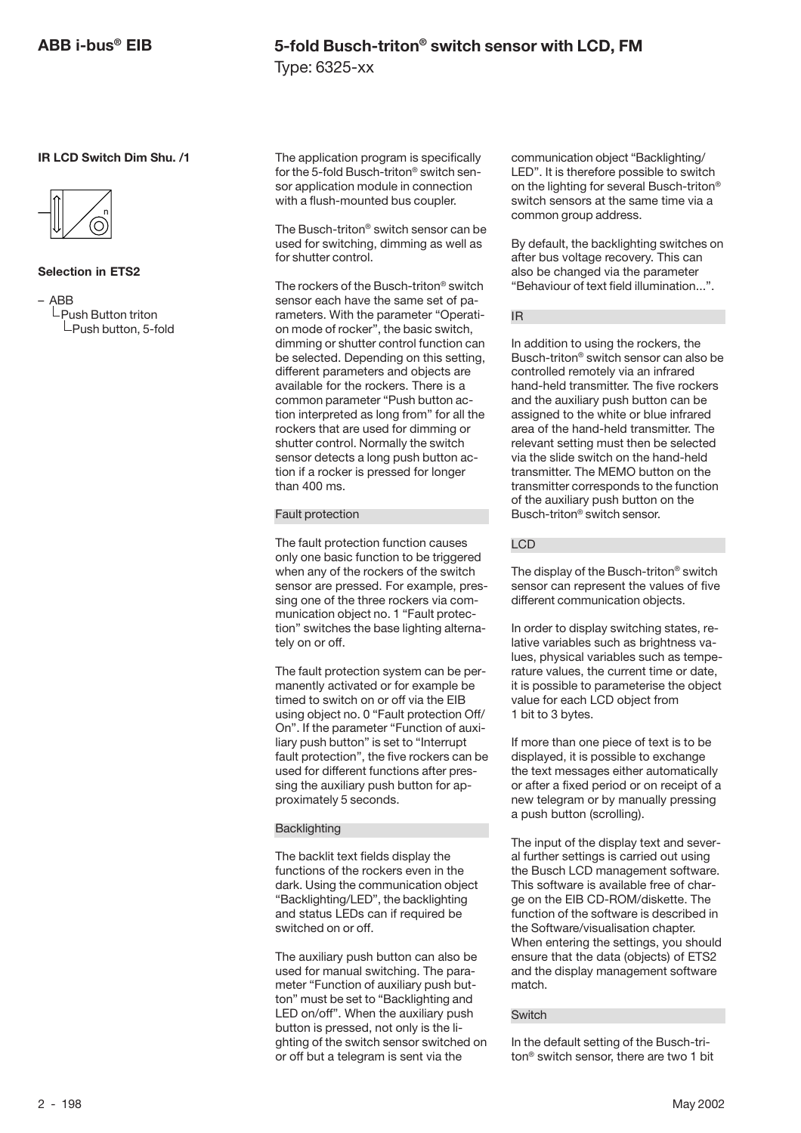**IR LCD Switch Dim Shu. /1**



#### **Selection in ETS2**

– ABB  $L$ Push Button triton  $L$ Push button, 5-fold The application program is specifically for the 5-fold Busch-triton® switch sensor application module in connection with a flush-mounted bus coupler.

The Busch-triton® switch sensor can be used for switching, dimming as well as for shutter control.

The rockers of the Busch-triton® switch sensor each have the same set of parameters. With the parameter "Operation mode of rocker", the basic switch, dimming or shutter control function can be selected. Depending on this setting, different parameters and objects are available for the rockers. There is a common parameter "Push button action interpreted as long from" for all the rockers that are used for dimming or shutter control. Normally the switch sensor detects a long push button action if a rocker is pressed for longer than 400 ms.

#### Fault protection

The fault protection function causes only one basic function to be triggered when any of the rockers of the switch sensor are pressed. For example, pressing one of the three rockers via communication object no. 1 "Fault protection" switches the base lighting alternately on or off.

The fault protection system can be permanently activated or for example be timed to switch on or off via the EIB using object no. 0 "Fault protection Off/ On". If the parameter "Function of auxiliary push button" is set to "Interrupt fault protection", the five rockers can be used for different functions after pressing the auxiliary push button for approximately 5 seconds.

#### **Backlighting**

The backlit text fields display the functions of the rockers even in the dark. Using the communication object "Backlighting/LED", the backlighting and status LEDs can if required be switched on or off.

The auxiliary push button can also be used for manual switching. The parameter "Function of auxiliary push button" must be set to "Backlighting and LED on/off". When the auxiliary push button is pressed, not only is the lighting of the switch sensor switched on or off but a telegram is sent via the

communication object "Backlighting/ LED". It is therefore possible to switch on the lighting for several Busch-triton® switch sensors at the same time via a common group address.

By default, the backlighting switches on after bus voltage recovery. This can also be changed via the parameter "Behaviour of text field illumination...".

#### IR

In addition to using the rockers, the Busch-triton® switch sensor can also be controlled remotely via an infrared hand-held transmitter. The five rockers and the auxiliary push button can be assigned to the white or blue infrared area of the hand-held transmitter. The relevant setting must then be selected via the slide switch on the hand-held transmitter. The MEMO button on the transmitter corresponds to the function of the auxiliary push button on the Busch-triton® switch sensor.

#### LCD

The display of the Busch-triton® switch sensor can represent the values of five different communication objects.

In order to display switching states, relative variables such as brightness values, physical variables such as temperature values, the current time or date, it is possible to parameterise the object value for each LCD object from 1 bit to 3 bytes.

If more than one piece of text is to be displayed, it is possible to exchange the text messages either automatically or after a fixed period or on receipt of a new telegram or by manually pressing a push button (scrolling).

The input of the display text and several further settings is carried out using the Busch LCD management software. This software is available free of charge on the EIB CD-ROM/diskette. The function of the software is described in the Software/visualisation chapter. When entering the settings, you should ensure that the data (objects) of ETS2 and the display management software match.

#### **Switch**

In the default setting of the Busch-triton® switch sensor, there are two 1 bit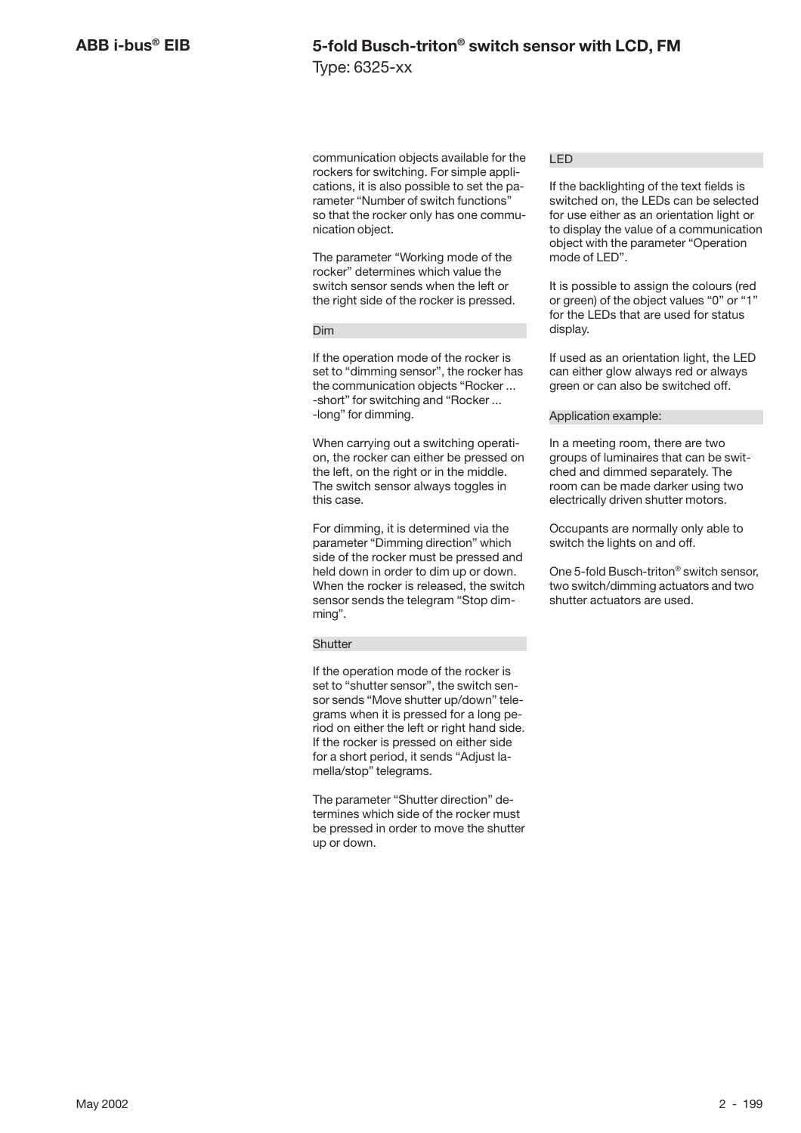### **5-fold Busch-triton® switch sensor with LCD, FM** Type: 6325-xx

communication objects available for the rockers for switching. For simple applications, it is also possible to set the parameter "Number of switch functions" so that the rocker only has one communication object.

The parameter "Working mode of the rocker" determines which value the switch sensor sends when the left or the right side of the rocker is pressed.

#### Dim

If the operation mode of the rocker is set to "dimming sensor", the rocker has the communication objects "Rocker ... -short" for switching and "Rocker ... -long" for dimming.

When carrying out a switching operation, the rocker can either be pressed on the left, on the right or in the middle. The switch sensor always toggles in this case.

For dimming, it is determined via the parameter "Dimming direction" which side of the rocker must be pressed and held down in order to dim up or down. When the rocker is released, the switch sensor sends the telegram "Stop dimming".

#### **Shutter**

If the operation mode of the rocker is set to "shutter sensor", the switch sensor sends "Move shutter up/down" telegrams when it is pressed for a long period on either the left or right hand side. If the rocker is pressed on either side for a short period, it sends "Adjust lamella/stop" telegrams.

The parameter "Shutter direction" determines which side of the rocker must be pressed in order to move the shutter up or down.

#### LED

If the backlighting of the text fields is switched on, the LEDs can be selected for use either as an orientation light or to display the value of a communication object with the parameter "Operation mode of LED".

It is possible to assign the colours (red or green) of the object values "0" or "1" for the LEDs that are used for status display.

If used as an orientation light, the LED can either glow always red or always green or can also be switched off.

#### Application example:

In a meeting room, there are two groups of luminaires that can be switched and dimmed separately. The room can be made darker using two electrically driven shutter motors.

Occupants are normally only able to switch the lights on and off.

One 5-fold Busch-triton® switch sensor, two switch/dimming actuators and two shutter actuators are used.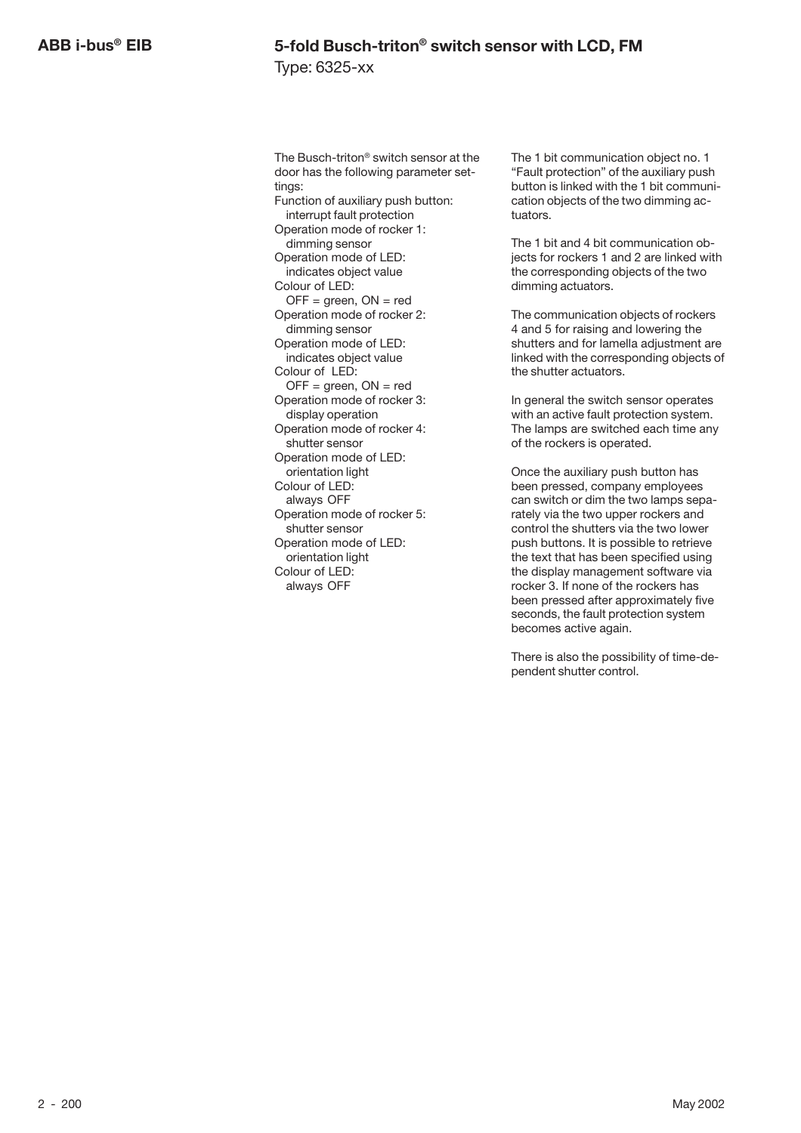The Busch-triton® switch sensor at the door has the following parameter settings: Function of auxiliary push button: interrupt fault protection Operation mode of rocker 1: dimming sensor Operation mode of LED: indicates object value Colour of LED:  $OFF = green, ON = red$ Operation mode of rocker 2: dimming sensor Operation mode of LED: indicates object value Colour of LED:  $OFF = green, ON = red$ Operation mode of rocker 3: display operation Operation mode of rocker 4: shutter sensor Operation mode of LED: orientation light Colour of LED: always OFF Operation mode of rocker 5: shutter sensor Operation mode of LED: orientation light Colour of LED: always OFF

The 1 bit communication object no. 1 "Fault protection" of the auxiliary push button is linked with the 1 bit communication objects of the two dimming actuators.

The 1 bit and 4 bit communication objects for rockers 1 and 2 are linked with the corresponding objects of the two dimming actuators.

The communication objects of rockers 4 and 5 for raising and lowering the shutters and for lamella adjustment are linked with the corresponding objects of the shutter actuators.

In general the switch sensor operates with an active fault protection system. The lamps are switched each time any of the rockers is operated.

Once the auxiliary push button has been pressed, company employees can switch or dim the two lamps separately via the two upper rockers and control the shutters via the two lower push buttons. It is possible to retrieve the text that has been specified using the display management software via rocker 3. If none of the rockers has been pressed after approximately five seconds, the fault protection system becomes active again.

There is also the possibility of time-dependent shutter control.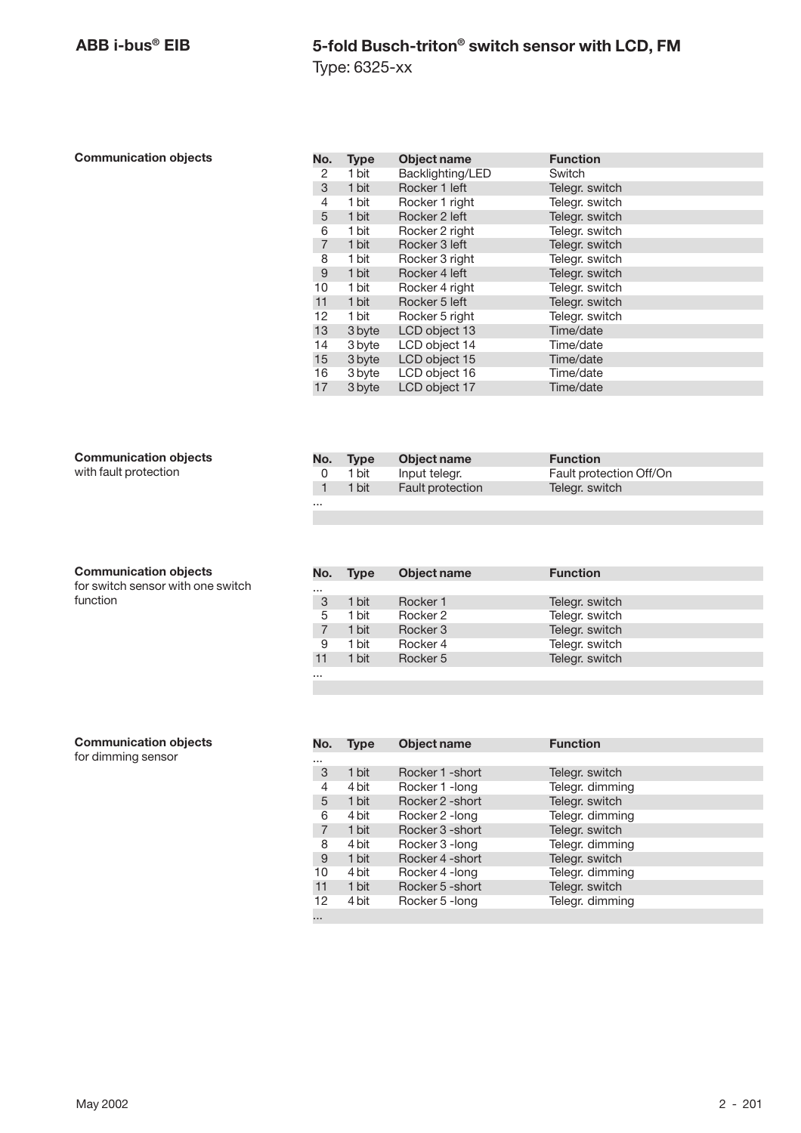#### **Communication objects**

| No.            | <b>Type</b> | Object name      | <b>Function</b> |
|----------------|-------------|------------------|-----------------|
| 2              | 1 bit       | Backlighting/LED | Switch          |
| 3              | 1 bit       | Rocker 1 left    | Telegr. switch  |
| 4              | 1 bit       | Rocker 1 right   | Telegr. switch  |
| 5              | 1 bit       | Rocker 2 left    | Telegr. switch  |
| 6              | 1 bit       | Rocker 2 right   | Telegr. switch  |
| $\overline{7}$ | 1 bit       | Rocker 3 left    | Telegr. switch  |
| 8              | 1 bit       | Rocker 3 right   | Telegr. switch  |
| 9              | 1 bit       | Rocker 4 left    | Telegr. switch  |
| 10             | 1 bit       | Rocker 4 right   | Telegr. switch  |
| 11             | 1 bit       | Rocker 5 left    | Telegr. switch  |
| 12             | 1 bit       | Rocker 5 right   | Telegr. switch  |
| 13             | 3 byte      | LCD object 13    | Time/date       |
| 14             | 3 byte      | LCD object 14    | Time/date       |
| 15             | 3 byte      | LCD object 15    | Time/date       |
| 16             | 3 byte      | LCD object 16    | Time/date       |
| 17             | 3 byte      | LCD object 17    | Time/date       |

#### **Communication objects**

with fault protection

#### **No. Type Object name Function**<br>
0 1 bit Input telegr. Fault prote 0 1 bit Input telegr. Fault protection Off/On<br>1 1 bit Fault protection Telegr. switch Fault protection ...

#### **Communication objects**

for switch sensor with one switch function

| No.      | <b>Type</b> | Object name | <b>Function</b> |
|----------|-------------|-------------|-----------------|
| $\cdots$ |             |             |                 |
| 3        | 1 bit       | Rocker 1    | Telegr. switch  |
| 5        | 1 bit       | Rocker 2    | Telegr. switch  |
|          | 1 bit       | Rocker 3    | Telegr. switch  |
| 9        | 1 bit       | Rocker 4    | Telegr. switch  |
| 11       | 1 bit       | Rocker 5    | Telegr. switch  |
|          |             |             |                 |

#### **Communication objects**

for dimming sensor

| No.            | <b>Type</b> | <b>Object name</b> | <b>Function</b> |
|----------------|-------------|--------------------|-----------------|
|                |             |                    |                 |
| 3              | 1 bit       | Rocker 1 - short   | Telegr. switch  |
| 4              | 4 bit       | Rocker 1 - long    | Telegr. dimming |
| 5              | 1 bit       | Rocker 2 - short   | Telegr. switch  |
| 6              | 4 bit       | Rocker 2 - long    | Telegr. dimming |
| $\overline{7}$ | 1 bit       | Rocker 3 - short   | Telegr. switch  |
| 8              | 4 bit       | Rocker 3 - long    | Telegr. dimming |
| 9              | 1 bit       | Rocker 4 - short   | Telegr. switch  |
| 10             | 4 bit       | Rocker 4 - long    | Telegr. dimming |
| 11             | 1 bit       | Rocker 5 - short   | Telegr. switch  |
| 12             | 4 bit       | Rocker 5 - long    | Telegr. dimming |
| $\cdots$       |             |                    |                 |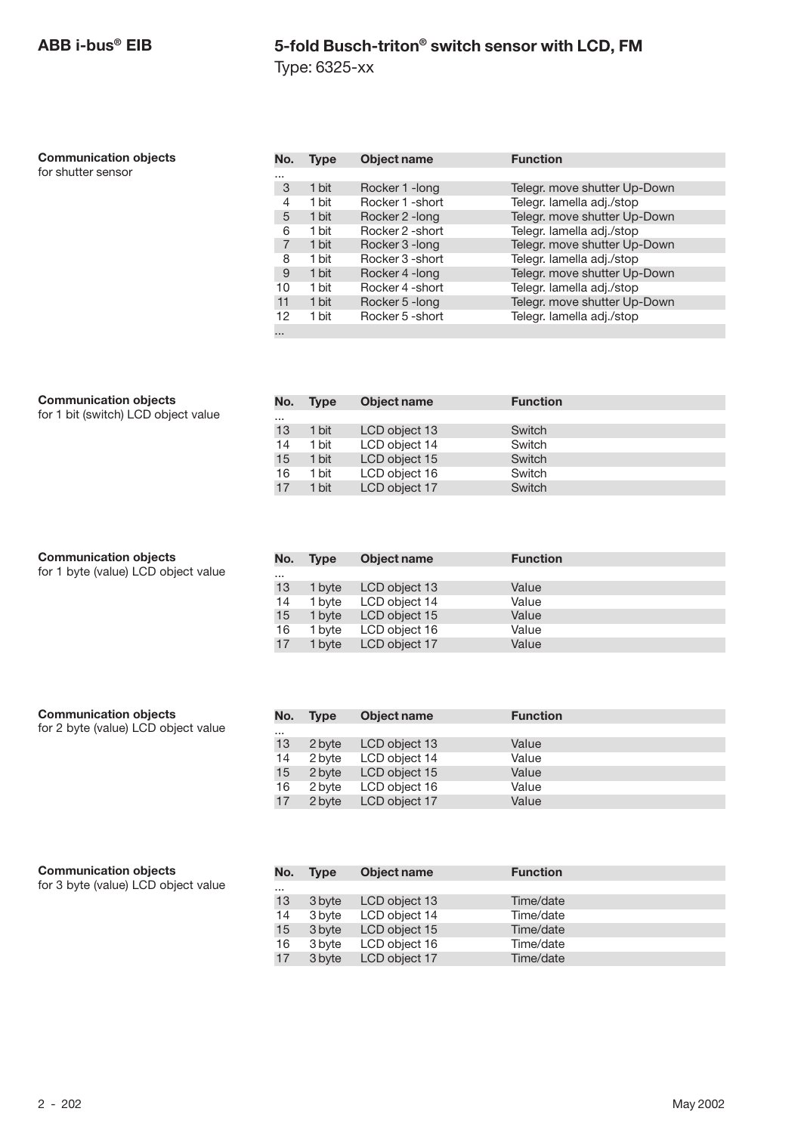Type: 6325-xx

| <b>Communication objects</b> |  |
|------------------------------|--|
|------------------------------|--|

for shutter sensor

| No.            | Type  | <b>Object name</b> | <b>Function</b>              |
|----------------|-------|--------------------|------------------------------|
| $\cdots$       |       |                    |                              |
| 3              | 1 bit | Rocker 1 - long    | Telegr. move shutter Up-Down |
| 4              | 1 bit | Rocker 1 - short   | Telegr. lamella adj./stop    |
| 5              | 1 bit | Rocker 2 - long    | Telegr. move shutter Up-Down |
| 6              | 1 bit | Rocker 2 - short   | Telegr. lamella adj./stop    |
| $\overline{7}$ | 1 bit | Rocker 3 - long    | Telegr. move shutter Up-Down |
| 8              | 1 bit | Rocker 3 - short   | Telegr. lamella adj./stop    |
| 9              | 1 bit | Rocker 4 - long    | Telegr. move shutter Up-Down |
| 10             | 1 bit | Rocker 4 - short   | Telegr. lamella adj./stop    |
| 11             | 1 bit | Rocker 5 - long    | Telegr. move shutter Up-Down |
| 12             | 1 bit | Rocker 5 - short   | Telegr. lamella adj./stop    |
| $\cdots$       |       |                    |                              |

#### **Communication objects**

for 1 bit (switch) LCD object value

| <b>Communication objects</b>        |          | No. Type | Object name   | <b>Function</b> |
|-------------------------------------|----------|----------|---------------|-----------------|
| for 1 byte (value) LCD object value | $\cdots$ |          |               |                 |
|                                     | 13       | 1 byte   | LCD object 13 | Value           |
|                                     | 14       | 1 byte   | LCD object 14 | Value           |
|                                     | 15       | 1 byte   | LCD object 15 | Value           |
|                                     | 16       | 1 bvte   | LCD object 16 | Value           |
|                                     | 17       | 1 byte   | LCD object 17 | Value           |

| <b>Communication objects</b><br>for 2 byte (value) LCD object value | No.      | <b>Type</b>      | Object name                    | <b>Function</b> |
|---------------------------------------------------------------------|----------|------------------|--------------------------------|-----------------|
|                                                                     | $\cdots$ |                  |                                |                 |
|                                                                     | 13       | 2 byte<br>2 byte | LCD object 13<br>LCD object 14 | Value<br>Value  |
|                                                                     | 14<br>15 |                  | LCD object 15                  | Value           |
|                                                                     |          | 2 byte           |                                |                 |
|                                                                     | 16       | 2 byte           | LCD object 16                  | Value           |
|                                                                     | 17       | 2 byte           | LCD object 17                  | Value           |

| <b>Communication objects</b> |  |
|------------------------------|--|
|------------------------------|--|

for 3 byte (value) LCD object value

| No.      | <b>Type</b> | Object name          | <b>Function</b> |
|----------|-------------|----------------------|-----------------|
| $\cdots$ |             |                      |                 |
| 13       | 3 byte      | LCD object 13        | Time/date       |
| 14       | 3 byte      | LCD object 14        | Time/date       |
| 15       |             | 3 byte LCD object 15 | Time/date       |
| 16       | 3 byte      | LCD object 16        | Time/date       |
| 17       | 3 byte      | LCD object 17        | Time/date       |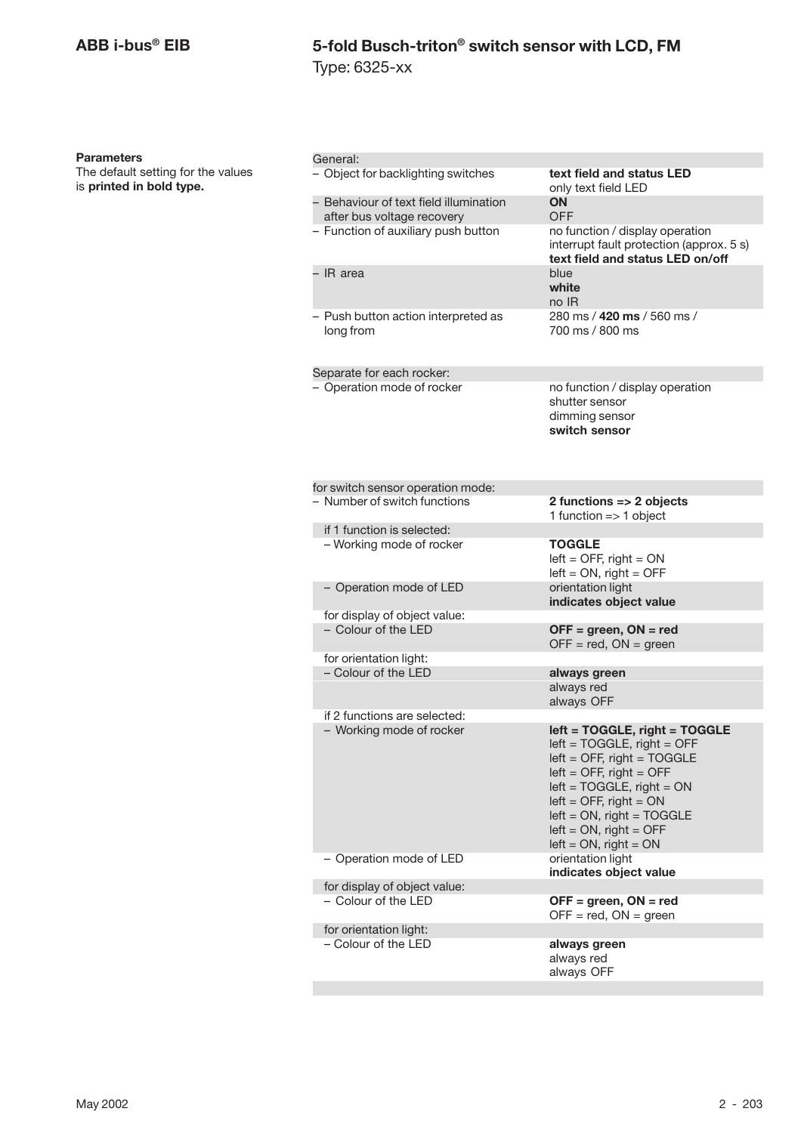Type: 6325-xx

#### **Parameters**

The default setting for the values is **printed in bold type.**

| General:                                                             |                                                                                                                                                                                                                                                                                    |
|----------------------------------------------------------------------|------------------------------------------------------------------------------------------------------------------------------------------------------------------------------------------------------------------------------------------------------------------------------------|
| - Object for backlighting switches                                   | text field and status LED<br>only text field LED                                                                                                                                                                                                                                   |
| - Behaviour of text field illumination<br>after bus voltage recovery | ON<br><b>OFF</b>                                                                                                                                                                                                                                                                   |
| - Function of auxiliary push button                                  | no function / display operation<br>interrupt fault protection (approx. 5 s)<br>text field and status LED on/off                                                                                                                                                                    |
| - IR area                                                            | blue<br>white<br>no IR                                                                                                                                                                                                                                                             |
| - Push button action interpreted as<br>long from                     | 280 ms / 420 ms / 560 ms /<br>700 ms / 800 ms                                                                                                                                                                                                                                      |
| Separate for each rocker:                                            |                                                                                                                                                                                                                                                                                    |
| - Operation mode of rocker                                           | no function / display operation<br>shutter sensor<br>dimming sensor<br>switch sensor                                                                                                                                                                                               |
| for switch sensor operation mode:                                    |                                                                                                                                                                                                                                                                                    |
| - Number of switch functions                                         | 2 functions => 2 objects<br>1 function $\Rightarrow$ 1 object                                                                                                                                                                                                                      |
| if 1 function is selected:                                           |                                                                                                                                                                                                                                                                                    |
| - Working mode of rocker                                             | <b>TOGGLE</b><br>$left =$ OFF, right = ON<br>$left = ON$ , right = OFF                                                                                                                                                                                                             |
| - Operation mode of LED                                              | orientation light<br>indicates object value                                                                                                                                                                                                                                        |
| for display of object value:                                         |                                                                                                                                                                                                                                                                                    |
| - Colour of the LED                                                  | $OFF = green, ON = red$<br>$OFF = red$ , $ON = green$                                                                                                                                                                                                                              |
| for orientation light:                                               |                                                                                                                                                                                                                                                                                    |
| - Colour of the LED                                                  | always green                                                                                                                                                                                                                                                                       |
|                                                                      | always red<br>always OFF                                                                                                                                                                                                                                                           |
| if 2 functions are selected:<br>- Working mode of rocker             | left = TOGGLE, right = TOGGLE<br>$left = TOGGLE$ , right = OFF<br>$left =$ OFF, right = TOGGLE<br>$left =$ OFF, right = OFF<br>$left = TOGGLE$ , right = $ON$<br>$left =$ OFF, right = ON<br>$left = ON$ , right = TOGGLE<br>$left = ON$ , right = OFF<br>$left = ON$ , right = ON |
| - Operation mode of LED<br>for display of object value:              | orientation light<br>indicates object value                                                                                                                                                                                                                                        |
| - Colour of the LED                                                  | $OFF = green, ON = red$<br>$OFF = red$ , $ON = green$                                                                                                                                                                                                                              |
| for orientation light:                                               |                                                                                                                                                                                                                                                                                    |
| – Colour of the LED                                                  | always green<br>always red<br>always OFF                                                                                                                                                                                                                                           |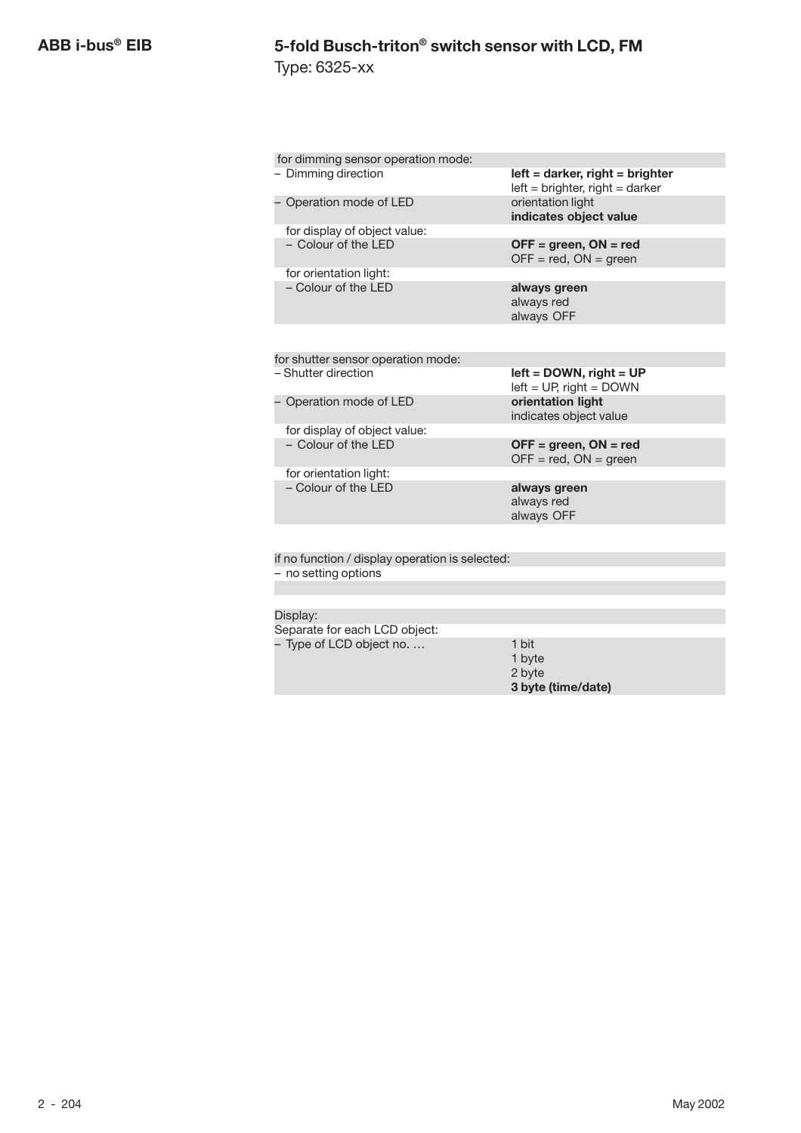Type: 6325-xx

| for dimming sensor operation mode:              |                                                                         |
|-------------------------------------------------|-------------------------------------------------------------------------|
| - Dimming direction                             | $left =$ darker, right = brighter<br>$left = brighter$ , right = darker |
| Operation mode of LED                           | orientation light<br>indicates object value                             |
| for display of object value:                    |                                                                         |
| - Colour of the LED                             | $OFF = green, ON = red$<br>$OFF = red$ , $ON = green$                   |
| for orientation light:                          |                                                                         |
| $-$ Colour of the $\overline{LP}$               | always green<br>always red<br>always OFF                                |
|                                                 |                                                                         |
| for shutter sensor operation mode:              |                                                                         |
| - Shutter direction                             | $left =$ DOWN, right = UP<br>$left = UP$ , right = DOWN                 |
| Operation mode of LED                           | orientation light<br>indicates object value                             |
| for display of object value:                    |                                                                         |
| $-$ Colour of the $\overline{1}$ FD             | $OFF = green, ON = red$<br>$OFF = red$ , $ON = green$                   |
| for orientation light:                          |                                                                         |
| - Colour of the I FD                            | always green<br>always red<br>always OFF                                |
|                                                 |                                                                         |
| if no function / display operation is selected: |                                                                         |
| - no setting options                            |                                                                         |
|                                                 |                                                                         |
|                                                 |                                                                         |

#### Display:

Separate for each LCD object:

- Type of LCD object no. … 1 bit
- 1 byte 2 byte **3 byte (time/date)**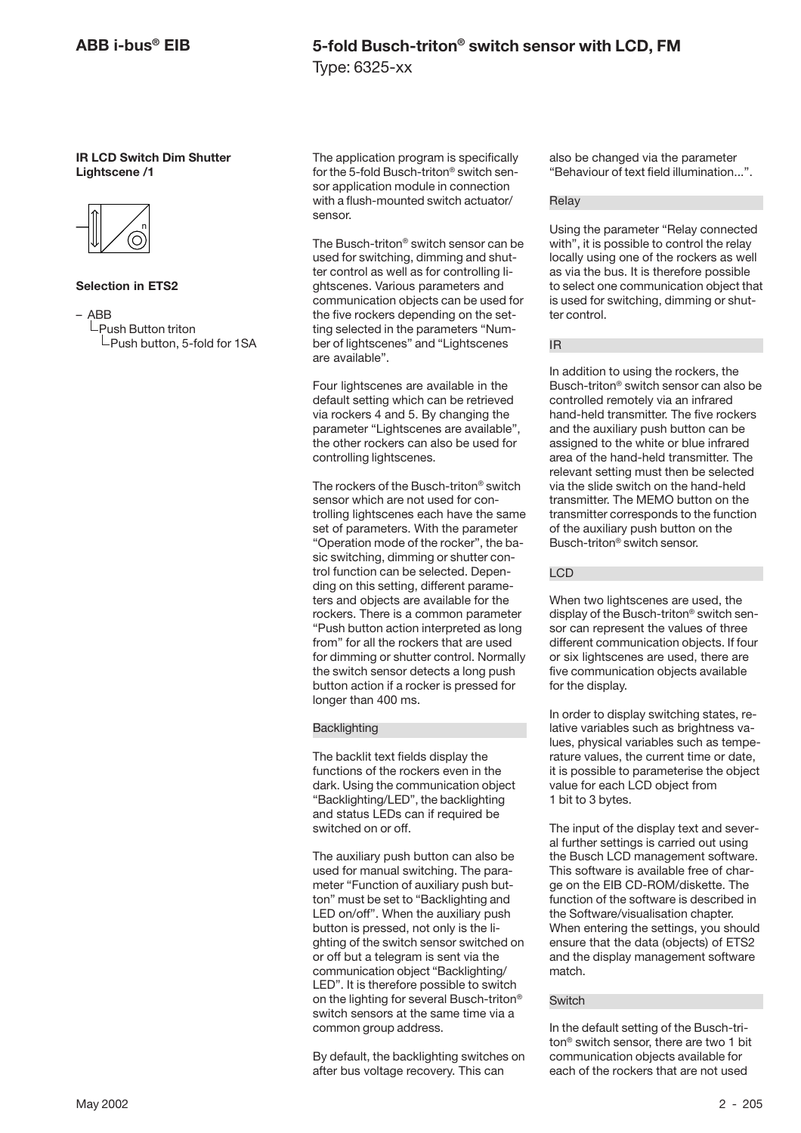### **5-fold Busch-triton® switch sensor with LCD, FM** Type: 6325-xx

#### **IR LCD Switch Dim Shutter Lightscene /1**



#### **Selection in ETS2**

– ABB

 $L$ Push Button triton  $L$ Push button, 5-fold for 1SA The application program is specifically for the 5-fold Busch-triton® switch sensor application module in connection with a flush-mounted switch actuator/ sensor.

The Busch-triton® switch sensor can be used for switching, dimming and shutter control as well as for controlling lightscenes. Various parameters and communication objects can be used for the five rockers depending on the setting selected in the parameters "Number of lightscenes" and "Lightscenes are available".

Four lightscenes are available in the default setting which can be retrieved via rockers 4 and 5. By changing the parameter "Lightscenes are available", the other rockers can also be used for controlling lightscenes.

The rockers of the Busch-triton® switch sensor which are not used for controlling lightscenes each have the same set of parameters. With the parameter "Operation mode of the rocker", the basic switching, dimming or shutter control function can be selected. Depending on this setting, different parameters and objects are available for the rockers. There is a common parameter "Push button action interpreted as long from" for all the rockers that are used for dimming or shutter control. Normally the switch sensor detects a long push button action if a rocker is pressed for longer than 400 ms.

#### **Backlighting**

The backlit text fields display the functions of the rockers even in the dark. Using the communication object "Backlighting/LED", the backlighting and status LEDs can if required be switched on or off.

The auxiliary push button can also be used for manual switching. The parameter "Function of auxiliary push button" must be set to "Backlighting and LED on/off". When the auxiliary push button is pressed, not only is the lighting of the switch sensor switched on or off but a telegram is sent via the communication object "Backlighting/ LED". It is therefore possible to switch on the lighting for several Busch-triton® switch sensors at the same time via a common group address.

By default, the backlighting switches on after bus voltage recovery. This can

also be changed via the parameter "Behaviour of text field illumination...".

#### Relay

Using the parameter "Relay connected with", it is possible to control the relay locally using one of the rockers as well as via the bus. It is therefore possible to select one communication object that is used for switching, dimming or shutter control.

#### IR

In addition to using the rockers, the Busch-triton® switch sensor can also be controlled remotely via an infrared hand-held transmitter. The five rockers and the auxiliary push button can be assigned to the white or blue infrared area of the hand-held transmitter. The relevant setting must then be selected via the slide switch on the hand-held transmitter. The MEMO button on the transmitter corresponds to the function of the auxiliary push button on the Busch-triton® switch sensor.

#### LCD

When two lightscenes are used, the display of the Busch-triton® switch sensor can represent the values of three different communication objects. If four or six lightscenes are used, there are five communication objects available for the display.

In order to display switching states, relative variables such as brightness values, physical variables such as temperature values, the current time or date, it is possible to parameterise the object value for each LCD object from 1 bit to 3 bytes.

The input of the display text and several further settings is carried out using the Busch LCD management software. This software is available free of charge on the EIB CD-ROM/diskette. The function of the software is described in the Software/visualisation chapter. When entering the settings, you should ensure that the data (objects) of ETS2 and the display management software match.

#### **Switch**

In the default setting of the Busch-triton® switch sensor, there are two 1 bit communication objects available for each of the rockers that are not used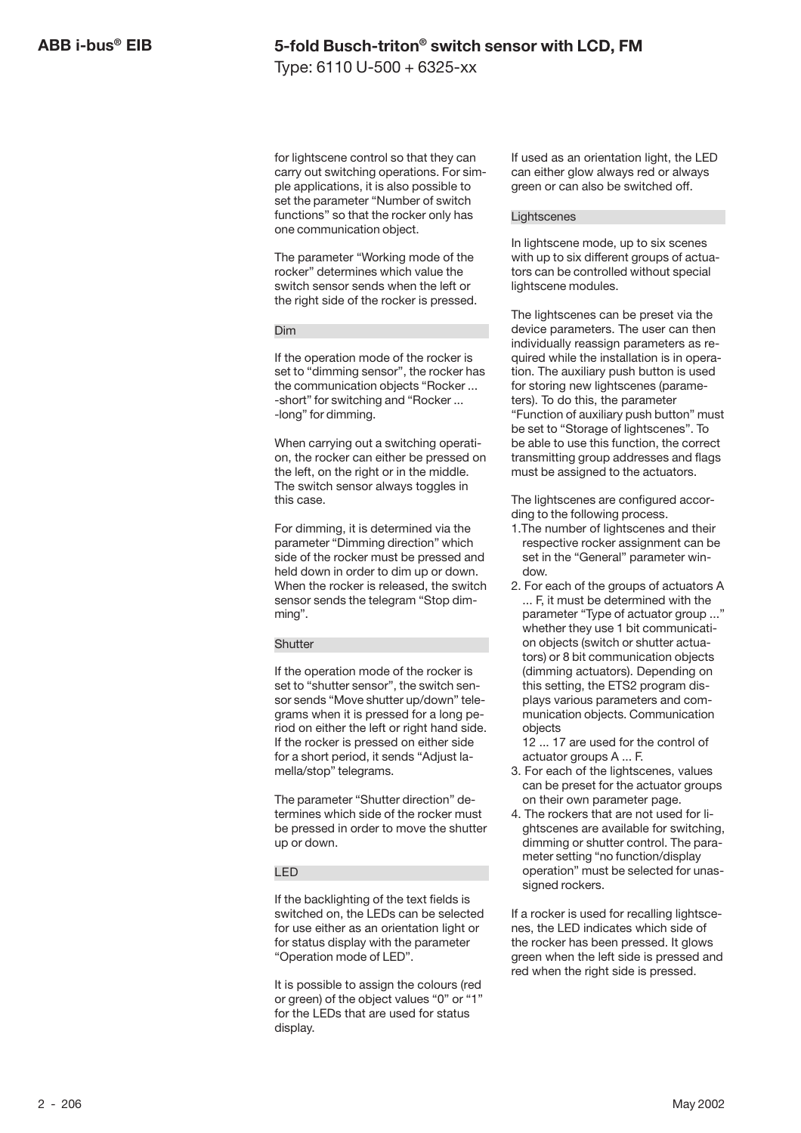Type: 6110 U-500 + 6325-xx

for lightscene control so that they can carry out switching operations. For simple applications, it is also possible to set the parameter "Number of switch functions" so that the rocker only has one communication object.

The parameter "Working mode of the rocker" determines which value the switch sensor sends when the left or the right side of the rocker is pressed.

#### Dim

If the operation mode of the rocker is set to "dimming sensor", the rocker has the communication objects "Rocker ... -short" for switching and "Rocker ... -long" for dimming.

When carrying out a switching operation, the rocker can either be pressed on the left, on the right or in the middle. The switch sensor always toggles in this case.

For dimming, it is determined via the parameter "Dimming direction" which side of the rocker must be pressed and held down in order to dim up or down. When the rocker is released, the switch sensor sends the telegram "Stop dimming".

#### **Shutter**

If the operation mode of the rocker is set to "shutter sensor", the switch sensor sends "Move shutter up/down" telegrams when it is pressed for a long period on either the left or right hand side. If the rocker is pressed on either side for a short period, it sends "Adjust lamella/stop" telegrams.

The parameter "Shutter direction" determines which side of the rocker must be pressed in order to move the shutter up or down.

#### LED

If the backlighting of the text fields is switched on, the LEDs can be selected for use either as an orientation light or for status display with the parameter "Operation mode of LED".

It is possible to assign the colours (red or green) of the object values "0" or "1" for the LEDs that are used for status display.

If used as an orientation light, the LED can either glow always red or always green or can also be switched off.

#### **Lightscenes**

In lightscene mode, up to six scenes with up to six different groups of actuators can be controlled without special lightscene modules.

The lightscenes can be preset via the device parameters. The user can then individually reassign parameters as required while the installation is in operation. The auxiliary push button is used for storing new lightscenes (parameters). To do this, the parameter "Function of auxiliary push button" must be set to "Storage of lightscenes". To be able to use this function, the correct transmitting group addresses and flags must be assigned to the actuators.

The lightscenes are configured according to the following process.

- 1.The number of lightscenes and their respective rocker assignment can be set in the "General" parameter window.
- 2. For each of the groups of actuators A ... F, it must be determined with the parameter "Type of actuator group ..." whether they use 1 bit communication objects (switch or shutter actuators) or 8 bit communication objects (dimming actuators). Depending on this setting, the ETS2 program displays various parameters and communication objects. Communication objects

12 ... 17 are used for the control of actuator groups A ... F.

- 3. For each of the lightscenes, values can be preset for the actuator groups on their own parameter page.
- 4. The rockers that are not used for lightscenes are available for switching, dimming or shutter control. The parameter setting "no function/display operation" must be selected for unassigned rockers.

If a rocker is used for recalling lightscenes, the LED indicates which side of the rocker has been pressed. It glows green when the left side is pressed and red when the right side is pressed.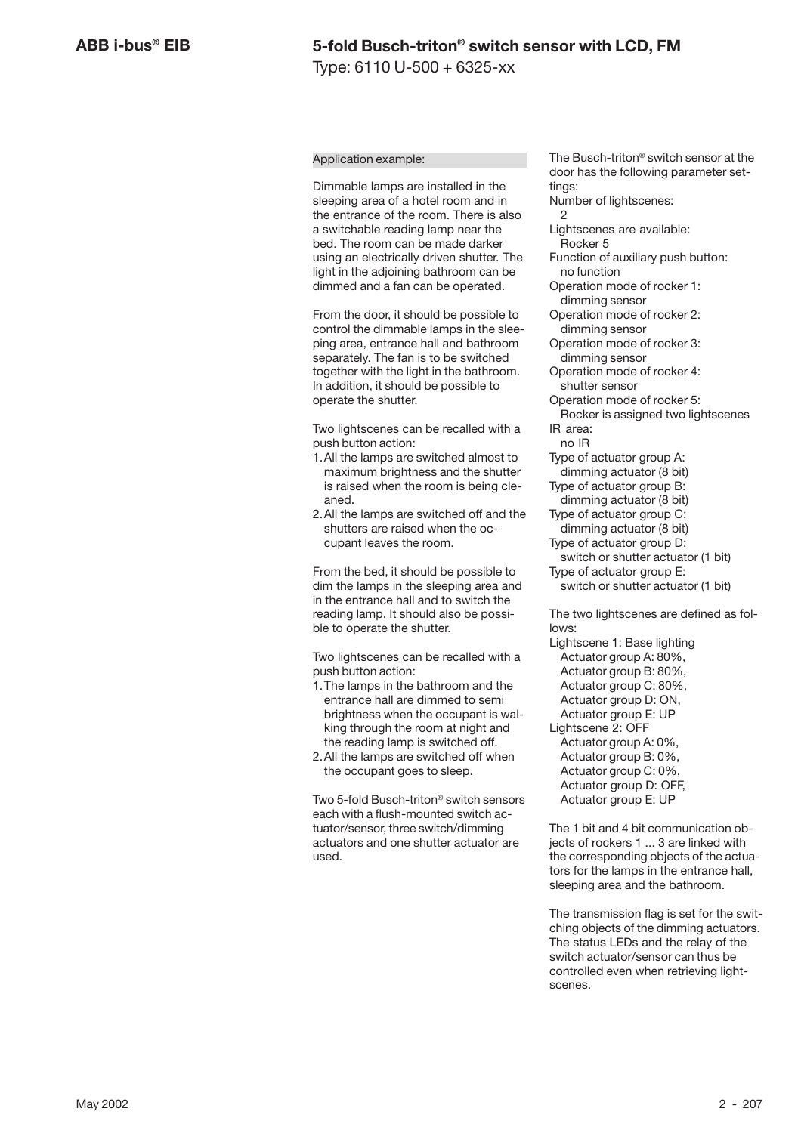#### Application example:

Dimmable lamps are installed in the sleeping area of a hotel room and in the entrance of the room. There is also a switchable reading lamp near the bed. The room can be made darker using an electrically driven shutter. The light in the adjoining bathroom can be dimmed and a fan can be operated.

From the door, it should be possible to control the dimmable lamps in the sleeping area, entrance hall and bathroom separately. The fan is to be switched together with the light in the bathroom. In addition, it should be possible to operate the shutter.

Two lightscenes can be recalled with a push button action:

- 1.All the lamps are switched almost to maximum brightness and the shutter is raised when the room is being cleaned.
- 2.All the lamps are switched off and the shutters are raised when the occupant leaves the room.

From the bed, it should be possible to dim the lamps in the sleeping area and in the entrance hall and to switch the reading lamp. It should also be possible to operate the shutter.

Two lightscenes can be recalled with a push button action:

- 1.The lamps in the bathroom and the entrance hall are dimmed to semi brightness when the occupant is walking through the room at night and the reading lamp is switched off.
- 2.All the lamps are switched off when the occupant goes to sleep.

Two 5-fold Busch-triton® switch sensors each with a flush-mounted switch actuator/sensor, three switch/dimming actuators and one shutter actuator are used.

The Busch-triton® switch sensor at the door has the following parameter settings:

Number of lightscenes:  $\mathfrak{p}$ 

Lightscenes are available: Rocker 5

- Function of auxiliary push button: no function
- Operation mode of rocker 1: dimming sensor
- Operation mode of rocker 2: dimming sensor
- Operation mode of rocker 3: dimming sensor
- Operation mode of rocker 4: shutter sensor
- Operation mode of rocker 5:
- Rocker is assigned two lightscenes IR area:
- no IR

Type of actuator group A: dimming actuator (8 bit)

- Type of actuator group B: dimming actuator (8 bit)
- Type of actuator group C:
- dimming actuator (8 bit) Type of actuator group D:
- switch or shutter actuator (1 bit) Type of actuator group E:

switch or shutter actuator (1 bit)

The two lightscenes are defined as follows:

Lightscene 1: Base lighting Actuator group A: 80%. Actuator group B: 80%, Actuator group C: 80%, Actuator group D: ON, Actuator group E: UP Lightscene 2: OFF Actuator group A: 0%, Actuator group B: 0%, Actuator group C: 0%, Actuator group D: OFF, Actuator group E: UP

The 1 bit and 4 bit communication objects of rockers 1 ... 3 are linked with the corresponding objects of the actuators for the lamps in the entrance hall, sleeping area and the bathroom.

The transmission flag is set for the switching objects of the dimming actuators. The status LEDs and the relay of the switch actuator/sensor can thus be controlled even when retrieving lightscenes.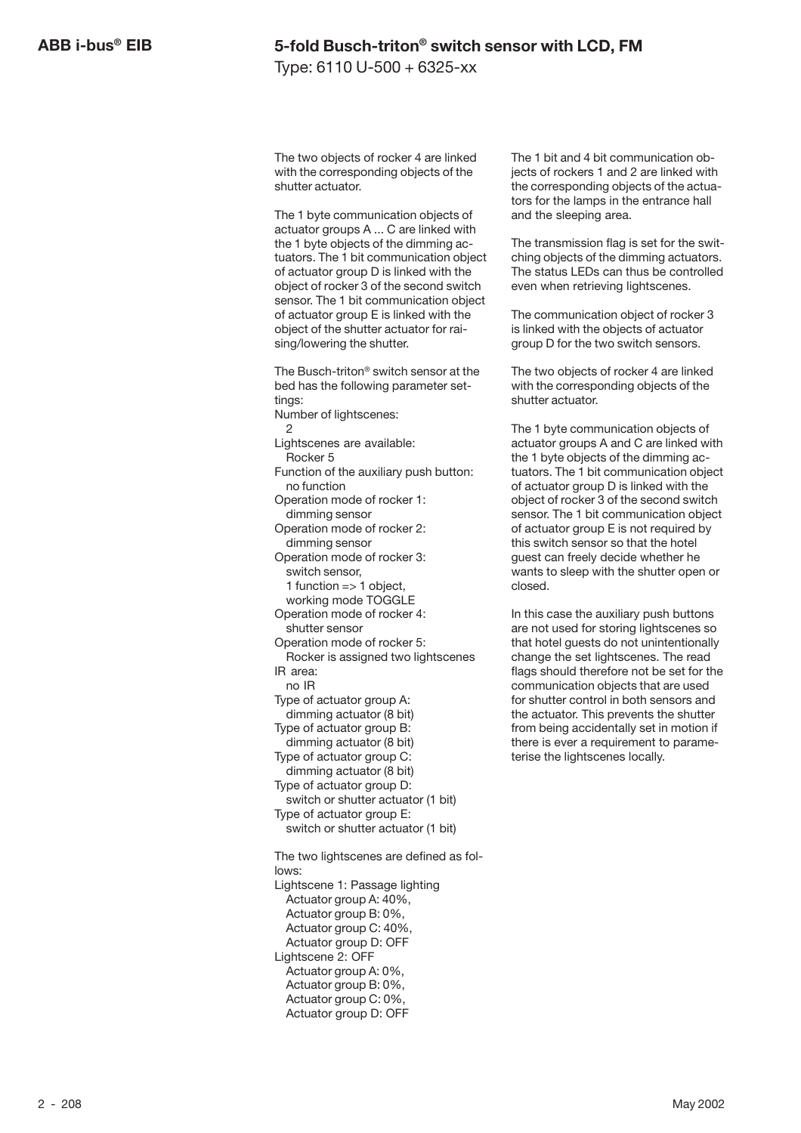Type: 6110 U-500 + 6325-xx

The two objects of rocker 4 are linked with the corresponding objects of the shutter actuator.

The 1 byte communication objects of actuator groups A ... C are linked with the 1 byte objects of the dimming actuators. The 1 bit communication object of actuator group D is linked with the object of rocker 3 of the second switch sensor. The 1 bit communication object of actuator group E is linked with the object of the shutter actuator for raising/lowering the shutter.

The Busch-triton® switch sensor at the bed has the following parameter settings: Number of lightscenes:  $\circ$ Lightscenes are available: Rocker 5 Function of the auxiliary push button: no function Operation mode of rocker 1: dimming sensor Operation mode of rocker 2: dimming sensor Operation mode of rocker 3: switch sensor, 1 function  $\Rightarrow$  1 object. working mode TOGGLE Operation mode of rocker 4: shutter sensor Operation mode of rocker 5: Rocker is assigned two lightscenes IR area: no IR Type of actuator group A: dimming actuator (8 bit) Type of actuator group B: dimming actuator (8 bit) Type of actuator group C: dimming actuator (8 bit) Type of actuator group D: switch or shutter actuator (1 bit) Type of actuator group E: switch or shutter actuator (1 bit) The two lightscenes are defined as follows: Lightscene 1: Passage lighting

Actuator group A: 40%, Actuator group B: 0%, Actuator group C: 40%, Actuator group D: OFF Lightscene 2: OFF Actuator group A: 0%, Actuator group B: 0%, Actuator group C: 0%, Actuator group D: OFF

The 1 bit and 4 bit communication objects of rockers 1 and 2 are linked with the corresponding objects of the actuators for the lamps in the entrance hall and the sleeping area.

The transmission flag is set for the switching objects of the dimming actuators. The status LEDs can thus be controlled even when retrieving lightscenes.

The communication object of rocker 3 is linked with the objects of actuator group D for the two switch sensors.

The two objects of rocker 4 are linked with the corresponding objects of the shutter actuator.

The 1 byte communication objects of actuator groups A and C are linked with the 1 byte objects of the dimming actuators. The 1 bit communication object of actuator group D is linked with the object of rocker 3 of the second switch sensor. The 1 bit communication object of actuator group E is not required by this switch sensor so that the hotel guest can freely decide whether he wants to sleep with the shutter open or closed.

In this case the auxiliary push buttons are not used for storing lightscenes so that hotel guests do not unintentionally change the set lightscenes. The read flags should therefore not be set for the communication objects that are used for shutter control in both sensors and the actuator. This prevents the shutter from being accidentally set in motion if there is ever a requirement to parameterise the lightscenes locally.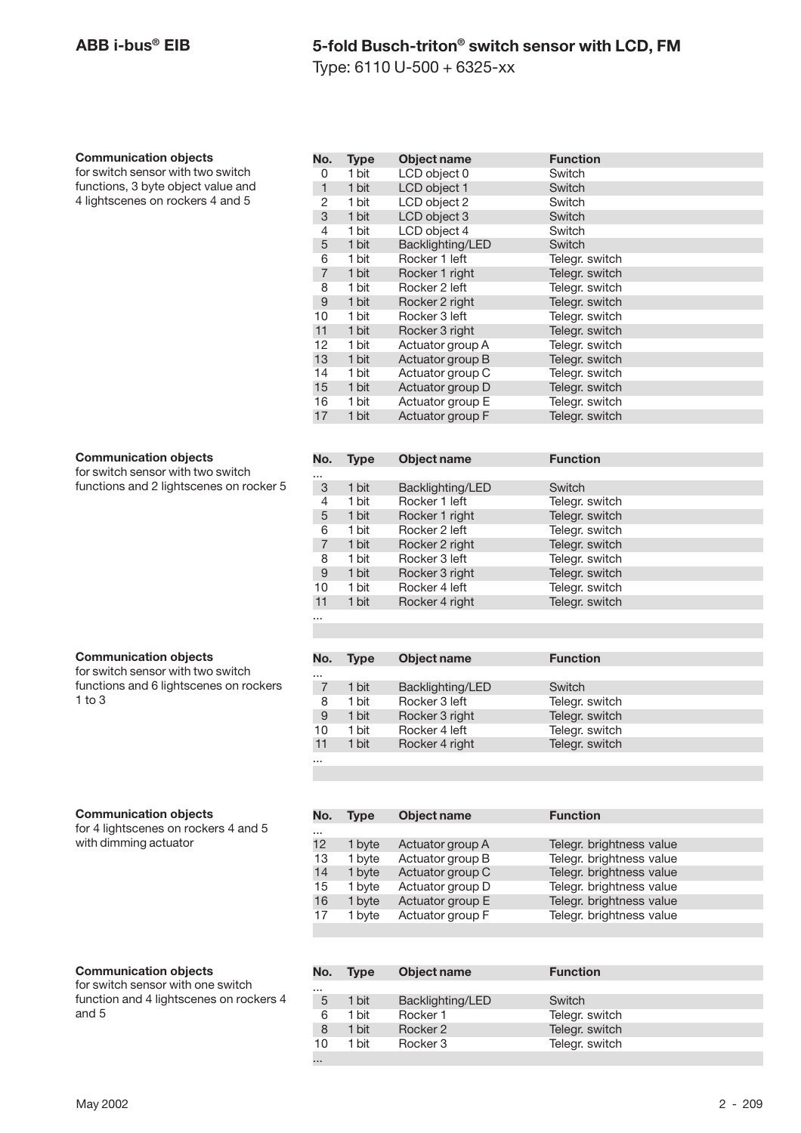Type: 6110 U-500 + 6325-xx

#### **Communication objects**

for switch sensor with two switch functions, 3 byte object value and 4 lightscenes on rockers 4 and 5

| No.            | <b>Type</b> | Object name      | <b>Function</b> |
|----------------|-------------|------------------|-----------------|
| 0              | 1 bit       | LCD object 0     | Switch          |
| 1              | 1 bit       | LCD object 1     | Switch          |
| 2              | 1 bit       | LCD object 2     | Switch          |
| 3              | 1 bit       | LCD object 3     | Switch          |
| 4              | 1 bit       | LCD object 4     | Switch          |
| 5              | 1 bit       | Backlighting/LED | Switch          |
| 6              | 1 bit       | Rocker 1 left    | Telegr. switch  |
| $\overline{7}$ | 1 bit       | Rocker 1 right   | Telegr. switch  |
| 8              | 1 bit       | Rocker 2 left    | Telegr. switch  |
| 9              | 1 bit       | Rocker 2 right   | Telegr. switch  |
| 10             | 1 bit       | Rocker 3 left    | Telegr. switch  |
| 11             | 1 bit       | Rocker 3 right   | Telegr. switch  |
| 12             | 1 bit       | Actuator group A | Telegr. switch  |
| 13             | 1 bit       | Actuator group B | Telegr. switch  |
| 14             | 1 bit       | Actuator group C | Telegr. switch  |
| 15             | 1 bit       | Actuator group D | Telegr. switch  |
| 16             | 1 bit       | Actuator group E | Telegr. switch  |
| 17             | 1 bit       | Actuator group F | Telegr. switch  |

**No. Type Object name Function**

3 1 bit Backlighting/LED Switch<br>4 1 bit Rocker 1 left Telear. 4 1 bit Rocker 1 left Telegr. switch<br>
5 1 bit Rocker 1 right Telegr. switch 1 bit Rocker 1 right Telegr. switch<br>1 bit Rocker 2 left Telegr. switch 6 1 bit Rocker 2 left Telegr. switch<br>
7 1 bit Rocker 2 right Telegr. switch

8 1 bit Rocker 3 left Telegr. switch<br>
9 1 bit Rocker 3 right Telegr. switch 9 1 bit Rocker 3 right Telegr. switch<br>
10 1 bit Rocker 4 left Telegr. switch

11 1 bit Rocker 4 right Telegr. switch

**No. Type Object name Function**

7 1 bit Backlighting/LED Switch<br>8 1 bit Rocker 3 left Telear. 8 1 bit Rocker 3 left Telegr. switch<br>9 1 bit Rocker 3 right Telegr. switch 9 1 bit Rocker 3 right Telegr. switch<br>
10 1 bit Rocker 4 left Telegr. switch

Rocker 2 right

...<br>3

...

...

#### **Communication objects**

for switch sensor with two switch functions and 2 lightscenes on rocker 5

#### **Communication objects**

for switch sensor with two switch functions and 6 lightscenes on rockers 1 to 3

#### **Communication objects**

for 4 lightscenes on rockers 4 and 5 with dimming actuator

| 11       | 1 bit       | Rocker 4 right   | Telegr. switch           |
|----------|-------------|------------------|--------------------------|
| $\cdots$ |             |                  |                          |
|          |             |                  |                          |
|          |             |                  |                          |
|          |             |                  |                          |
| No.      | <b>Type</b> | Object name      | <b>Function</b>          |
|          |             |                  |                          |
| $\cdots$ |             |                  |                          |
| 12       | 1 byte      | Actuator group A | Telegr. brightness value |
| 13       | 1 byte      | Actuator group B | Telegr. brightness value |
| 14       | 1 byte      | Actuator group C | Telegr. brightness value |

15 1 byte Actuator group D Telegr. brightness value<br>16 1 byte Actuator group E Telegr. brightness value 1 byte Actuator group E Telegr. brightness value 17 1 byte Actuator group F Telegr. brightness value

Telegr. switch

Telegr. switch

#### **Communication objects**

for switch sensor with one switch function and 4 lightscenes on rockers 4 and 5

| No.      | <b>Type</b> | Object name      | <b>Function</b> |  |
|----------|-------------|------------------|-----------------|--|
| $\cdots$ |             |                  |                 |  |
| 5        | 1 bit       | Backlighting/LED | Switch          |  |
| 6        | 1 bit       | Rocker 1         | Telegr. switch  |  |
| 8        | 1 bit       | Rocker 2         | Telegr. switch  |  |
| 10       | 1 bit       | Rocker 3         | Telegr. switch  |  |
| $\cdots$ |             |                  |                 |  |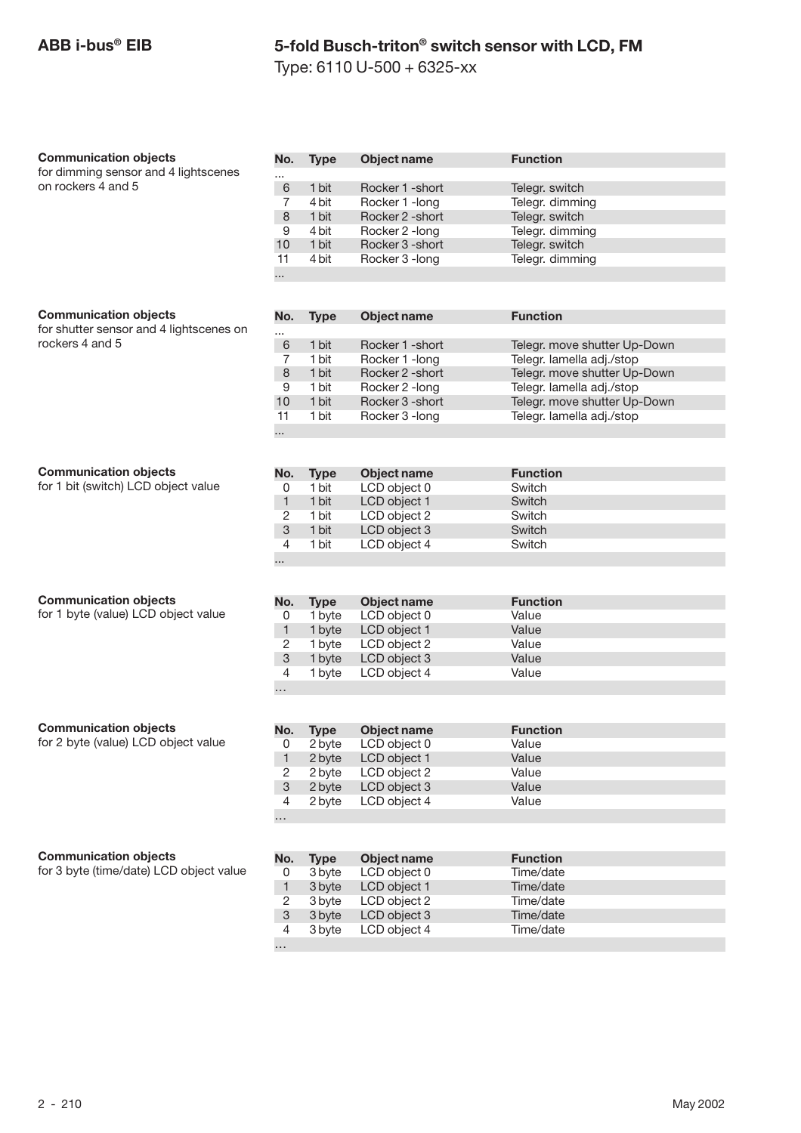Type: 6110 U-500 + 6325-xx

| <b>Communication objects</b>            | No.                       | <b>Type</b> | Object name        | <b>Function</b>              |
|-----------------------------------------|---------------------------|-------------|--------------------|------------------------------|
| for dimming sensor and 4 lightscenes    |                           |             |                    |                              |
| on rockers 4 and 5                      | 6                         | 1 bit       | Rocker 1 - short   | Telegr. switch               |
|                                         | $\overline{7}$            | 4 bit       | Rocker 1 - long    | Telegr. dimming              |
|                                         | $\,8\,$                   | 1 bit       | Rocker 2 - short   | Telegr. switch               |
|                                         | 9                         | 4 bit       | Rocker 2 - long    | Telegr. dimming              |
|                                         | 10                        | 1 bit       | Rocker 3 - short   | Telegr. switch               |
|                                         | 11                        | 4 bit       | Rocker 3 - long    | Telegr. dimming              |
|                                         |                           |             |                    |                              |
|                                         |                           |             |                    |                              |
|                                         |                           |             |                    |                              |
| <b>Communication objects</b>            | No.                       | <b>Type</b> | Object name        | <b>Function</b>              |
| for shutter sensor and 4 lightscenes on |                           |             |                    |                              |
| rockers 4 and 5                         | $6\phantom{1}6$           | 1 bit       | Rocker 1 - short   | Telegr. move shutter Up-Down |
|                                         | 7                         | 1 bit       | Rocker 1 - long    | Telegr. lamella adj./stop    |
|                                         | $\,8\,$                   | 1 bit       | Rocker 2 - short   | Telegr. move shutter Up-Down |
|                                         |                           |             |                    |                              |
|                                         | 9                         | 1 bit       | Rocker 2 - long    | Telegr. lamella adj./stop    |
|                                         | 10                        | 1 bit       | Rocker 3 - short   | Telegr. move shutter Up-Down |
|                                         | 11                        | 1 bit       | Rocker 3 - long    | Telegr. lamella adj./stop    |
|                                         |                           |             |                    |                              |
|                                         |                           |             |                    |                              |
| <b>Communication objects</b>            | No.                       | <b>Type</b> | <b>Object name</b> | <b>Function</b>              |
| for 1 bit (switch) LCD object value     | 0                         | 1 bit       | LCD object 0       | Switch                       |
|                                         | $\mathbf{1}$              | 1 bit       | LCD object 1       | Switch                       |
|                                         |                           |             |                    | Switch                       |
|                                         | $\sqrt{2}$                | 1 bit       | LCD object 2       |                              |
|                                         | $\mathbf{3}$              | 1 bit       | LCD object 3       | Switch                       |
|                                         | 4                         | 1 bit       | LCD object 4       | Switch                       |
|                                         |                           |             |                    |                              |
|                                         |                           |             |                    |                              |
| <b>Communication objects</b>            | No.                       | <b>Type</b> | Object name        | <b>Function</b>              |
| for 1 byte (value) LCD object value     | 0                         | 1 byte      | LCD object 0       | Value                        |
|                                         | $\mathbf{1}$              | 1 byte      | LCD object 1       | Value                        |
|                                         |                           |             |                    |                              |
|                                         | 2                         | 1 byte      | LCD object 2       | Value                        |
|                                         | $\ensuremath{\mathsf{3}}$ | 1 byte      | LCD object 3       | Value                        |
|                                         | $\overline{4}$            | 1 byte      | LCD object 4       | Value                        |
|                                         | .                         |             |                    |                              |
|                                         |                           |             |                    |                              |
| <b>Communication objects</b>            | No.                       | <b>Type</b> | <b>Object name</b> | <b>Function</b>              |
| for 2 byte (value) LCD object value     | 0                         | 2 byte      | LCD object 0       | Value                        |
|                                         | $\mathbf{1}$              | 2 byte      | LCD object 1       | Value                        |
|                                         | 2                         | 2 byte      | LCD object 2       | Value                        |
|                                         |                           |             |                    | Value                        |
|                                         | 3                         | 2 byte      | LCD object 3       |                              |
|                                         | 4                         | 2 byte      | LCD object 4       | Value                        |
|                                         |                           |             |                    |                              |
|                                         |                           |             |                    |                              |
| <b>Communication objects</b>            | No.                       | <b>Type</b> | <b>Object name</b> | <b>Function</b>              |
| for 3 byte (time/date) LCD object value | 0                         | 3 byte      | LCD object 0       | Time/date                    |
|                                         | $\mathbf{1}$              | 3 byte      | LCD object 1       | Time/date                    |
|                                         |                           | 3 byte      | LCD object 2       | Time/date                    |
|                                         | 2                         |             |                    |                              |
|                                         | 3                         | 3 byte      | LCD object 3       | Time/date                    |
|                                         | 4                         | 3 byte      | LCD object 4       | Time/date                    |
|                                         |                           |             |                    |                              |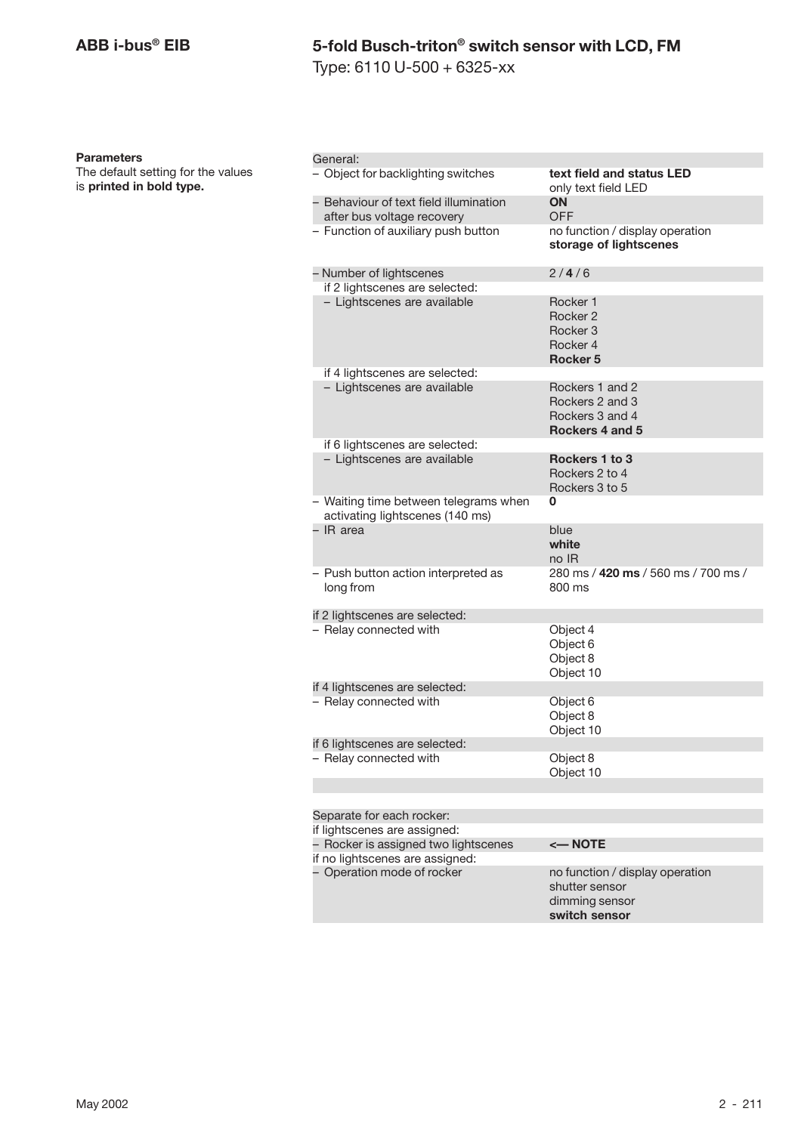Type: 6110 U-500 + 6325-xx

#### **Parameters**

The default setting for the values is **printed in bold type.**

| General:                                                                 |                                                                                      |
|--------------------------------------------------------------------------|--------------------------------------------------------------------------------------|
| - Object for backlighting switches                                       | text field and status LED<br>only text field LED                                     |
| - Behaviour of text field illumination<br>after bus voltage recovery     | <b>ON</b><br>OFF                                                                     |
| - Function of auxiliary push button                                      | no function / display operation<br>storage of lightscenes                            |
| – Number of lightscenes                                                  | 2/4/6                                                                                |
| if 2 lightscenes are selected:                                           |                                                                                      |
| - Lightscenes are available                                              | Rocker 1<br>Rocker 2<br>Rocker <sub>3</sub><br>Rocker 4<br><b>Rocker 5</b>           |
| if 4 lightscenes are selected:                                           |                                                                                      |
| - Lightscenes are available                                              | Rockers 1 and 2<br>Rockers 2 and 3<br>Rockers 3 and 4<br>Rockers 4 and 5             |
| if 6 lightscenes are selected:                                           |                                                                                      |
| - Lightscenes are available                                              | Rockers 1 to 3<br>Rockers 2 to 4<br>Rockers 3 to 5                                   |
| - Waiting time between telegrams when<br>activating lightscenes (140 ms) | 0                                                                                    |
| - IR area                                                                | blue<br>white<br>no IR                                                               |
| - Push button action interpreted as<br>long from                         | 280 ms / 420 ms / 560 ms / 700 ms /<br>800 ms                                        |
| if 2 lightscenes are selected:                                           |                                                                                      |
| - Relay connected with                                                   | Object 4<br>Object 6<br>Object 8<br>Object 10                                        |
| if 4 lightscenes are selected:                                           |                                                                                      |
| - Relay connected with                                                   | Object 6<br>Object 8<br>Object 10                                                    |
| if 6 lightscenes are selected:                                           |                                                                                      |
| - Relay connected with                                                   | Object 8<br>Object 10                                                                |
|                                                                          |                                                                                      |
| Separate for each rocker:                                                |                                                                                      |
| if lightscenes are assigned:                                             |                                                                                      |
| - Rocker is assigned two lightscenes                                     | $\leftarrow$ NOTE                                                                    |
| if no lightscenes are assigned:                                          |                                                                                      |
| - Operation mode of rocker                                               | no function / display operation<br>shutter sensor<br>dimming sensor<br>switch sensor |
|                                                                          |                                                                                      |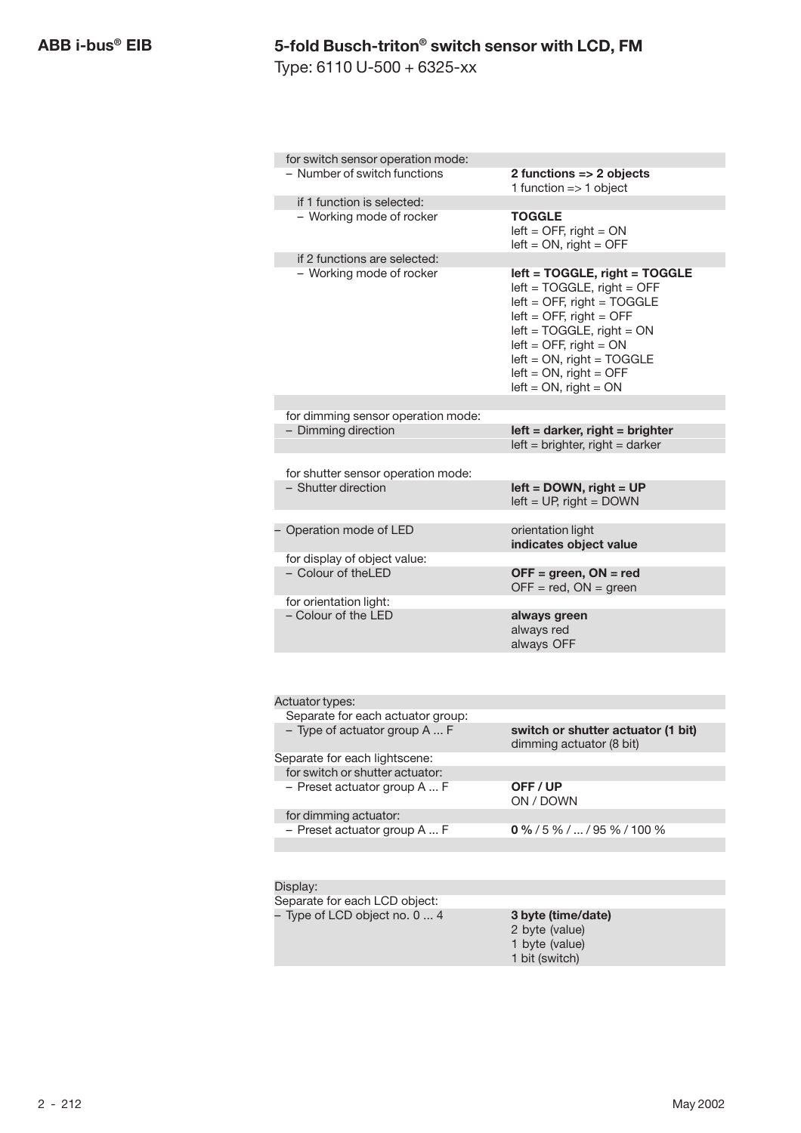Type: 6110 U-500 + 6325-xx

| for switch sensor operation mode:                               |                                                                                                                                                                                                                                                                                    |
|-----------------------------------------------------------------|------------------------------------------------------------------------------------------------------------------------------------------------------------------------------------------------------------------------------------------------------------------------------------|
| - Number of switch functions                                    | 2 functions => 2 objects<br>1 function $=> 1$ object                                                                                                                                                                                                                               |
| if 1 function is selected:                                      |                                                                                                                                                                                                                                                                                    |
| - Working mode of rocker                                        | <b>TOGGLE</b><br>$left =$ OFF, right = ON<br>$left = ON$ , right = OFF                                                                                                                                                                                                             |
| if 2 functions are selected:<br>- Working mode of rocker        | left = TOGGLE, right = TOGGLE<br>$left = TOGGLE$ , right = OFF<br>$left =$ OFF, right = TOGGLE<br>$left =$ OFF, right = OFF<br>$left = TOGGLE$ , right = $ON$<br>$left =$ OFF, right = ON<br>$left = ON$ , right = TOGGLE<br>$left = ON$ , right = OFF<br>$left = ON$ , right = ON |
| for dimming sensor operation mode:                              |                                                                                                                                                                                                                                                                                    |
| - Dimming direction                                             | $left =$ darker, right = brighter<br>$left = brighter$ , right = darker                                                                                                                                                                                                            |
| for shutter sensor operation mode:                              |                                                                                                                                                                                                                                                                                    |
| - Shutter direction                                             | $left =$ DOWN, right = UP<br>$left = UP$ , right = DOWN                                                                                                                                                                                                                            |
| Operation mode of LED                                           | orientation light<br>indicates object value                                                                                                                                                                                                                                        |
| for display of object value:                                    |                                                                                                                                                                                                                                                                                    |
| - Colour of theLED                                              | $OFF = green, ON = red$<br>$OFF = red$ , $ON = green$                                                                                                                                                                                                                              |
| for orientation light:                                          |                                                                                                                                                                                                                                                                                    |
| - Colour of the LED                                             | always green<br>always red<br>always OFF                                                                                                                                                                                                                                           |
|                                                                 |                                                                                                                                                                                                                                                                                    |
| Actuator types:                                                 |                                                                                                                                                                                                                                                                                    |
| Separate for each actuator group:                               |                                                                                                                                                                                                                                                                                    |
| - Type of actuator group A  F                                   | switch or shutter actuator (1 bit)<br>dimming actuator (8 bit)                                                                                                                                                                                                                     |
| Separate for each lightscene:                                   |                                                                                                                                                                                                                                                                                    |
| for switch or shutter actuator:<br>- Preset actuator group A  F | OFF/UP                                                                                                                                                                                                                                                                             |
|                                                                 | ON / DOWN                                                                                                                                                                                                                                                                          |
| for dimming actuator:<br>- Preset actuator group A  F           | $0\frac{9}{6}$ / 5 % /  / 95 % / 100 %                                                                                                                                                                                                                                             |
|                                                                 |                                                                                                                                                                                                                                                                                    |
| Display:                                                        |                                                                                                                                                                                                                                                                                    |
| Separate for each LCD object:                                   |                                                                                                                                                                                                                                                                                    |
| - Type of LCD object no. 0  4                                   | 3 byte (time/date)                                                                                                                                                                                                                                                                 |
|                                                                 | 2 byte (value)                                                                                                                                                                                                                                                                     |
|                                                                 | 1 byte (value)<br>1 bit (switch)                                                                                                                                                                                                                                                   |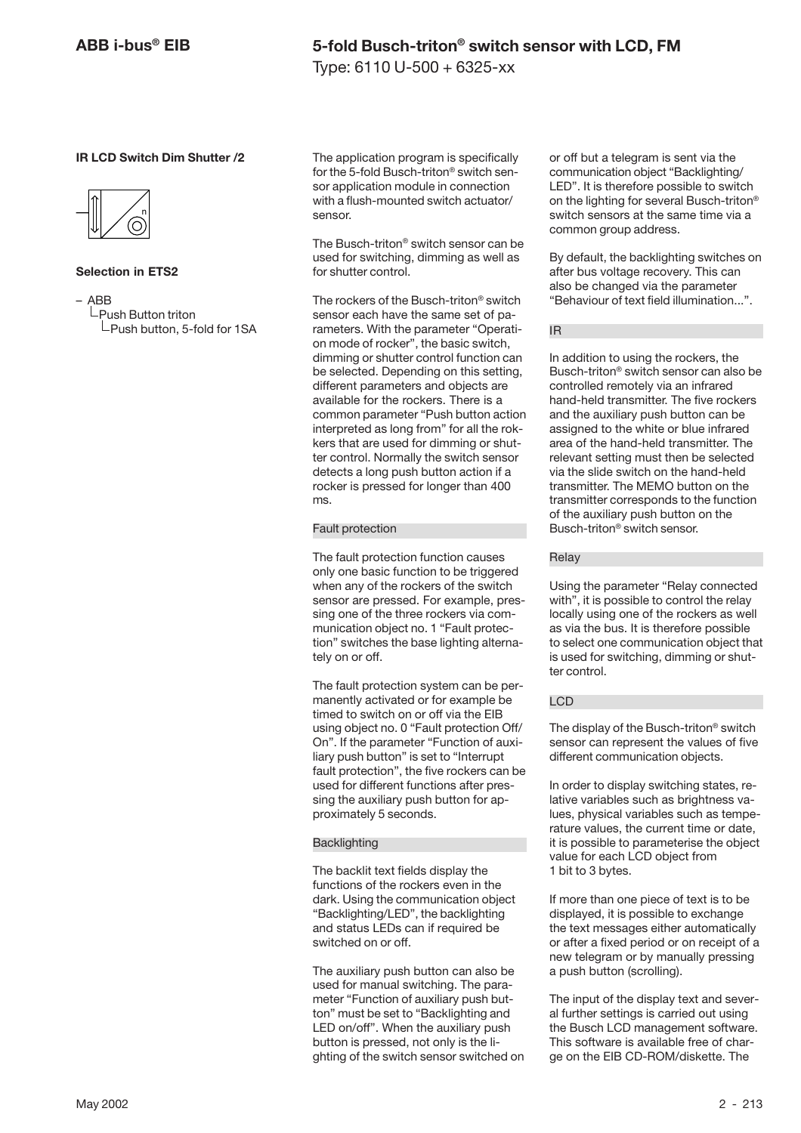Type: 6110 U-500 + 6325-xx

#### **IR LCD Switch Dim Shutter /2**



#### **Selection in ETS2**

– ABB  $L$ Push Button triton  $L$ Push button, 5-fold for 1SA The application program is specifically for the 5-fold Busch-triton® switch sensor application module in connection with a flush-mounted switch actuator/ sensor.

The Busch-triton® switch sensor can be used for switching, dimming as well as for shutter control.

The rockers of the Busch-triton® switch sensor each have the same set of parameters. With the parameter "Operation mode of rocker", the basic switch, dimming or shutter control function can be selected. Depending on this setting, different parameters and objects are available for the rockers. There is a common parameter "Push button action interpreted as long from" for all the rokkers that are used for dimming or shutter control. Normally the switch sensor detects a long push button action if a rocker is pressed for longer than 400 ms.

#### Fault protection

The fault protection function causes only one basic function to be triggered when any of the rockers of the switch sensor are pressed. For example, pressing one of the three rockers via communication object no. 1 "Fault protection" switches the base lighting alternately on or off.

The fault protection system can be permanently activated or for example be timed to switch on or off via the EIB using object no. 0 "Fault protection Off/ On". If the parameter "Function of auxiliary push button" is set to "Interrupt fault protection", the five rockers can be used for different functions after pressing the auxiliary push button for approximately 5 seconds.

#### **Backlighting**

The backlit text fields display the functions of the rockers even in the dark. Using the communication object "Backlighting/LED", the backlighting and status LEDs can if required be switched on or off.

The auxiliary push button can also be used for manual switching. The parameter "Function of auxiliary push button" must be set to "Backlighting and LED on/off". When the auxiliary push button is pressed, not only is the lighting of the switch sensor switched on or off but a telegram is sent via the communication object "Backlighting/ LED". It is therefore possible to switch on the lighting for several Busch-triton® switch sensors at the same time via a common group address.

By default, the backlighting switches on after bus voltage recovery. This can also be changed via the parameter "Behaviour of text field illumination...".

IR

In addition to using the rockers, the Busch-triton® switch sensor can also be controlled remotely via an infrared hand-held transmitter. The five rockers and the auxiliary push button can be assigned to the white or blue infrared area of the hand-held transmitter. The relevant setting must then be selected via the slide switch on the hand-held transmitter. The MEMO button on the transmitter corresponds to the function of the auxiliary push button on the Busch-triton® switch sensor.

#### Relay

Using the parameter "Relay connected with", it is possible to control the relay locally using one of the rockers as well as via the bus. It is therefore possible to select one communication object that is used for switching, dimming or shutter control.

#### LCD

The display of the Busch-triton® switch sensor can represent the values of five different communication objects.

In order to display switching states, relative variables such as brightness values, physical variables such as temperature values, the current time or date, it is possible to parameterise the object value for each LCD object from 1 bit to 3 bytes.

If more than one piece of text is to be displayed, it is possible to exchange the text messages either automatically or after a fixed period or on receipt of a new telegram or by manually pressing a push button (scrolling).

The input of the display text and several further settings is carried out using the Busch LCD management software. This software is available free of charge on the EIB CD-ROM/diskette. The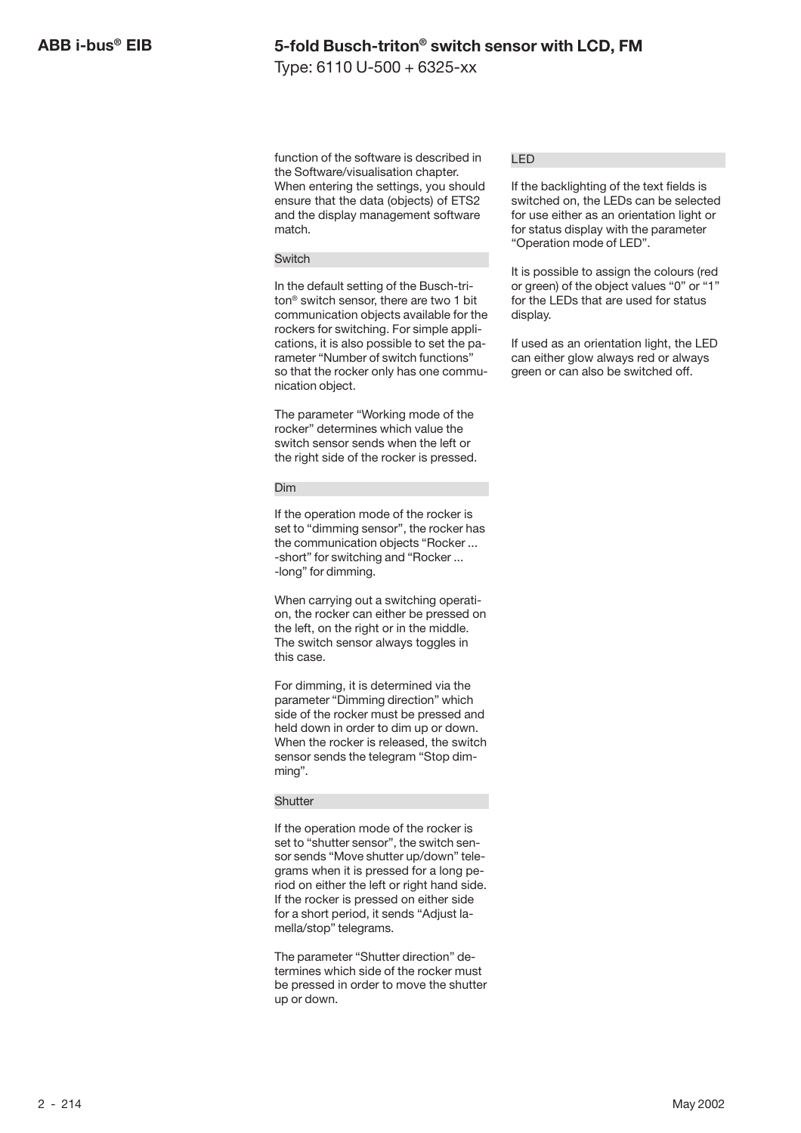Type: 6110 U-500 + 6325-xx

function of the software is described in the Software/visualisation chapter. When entering the settings, you should ensure that the data (objects) of ETS2 and the display management software match.

#### Switch

In the default setting of the Busch-triton® switch sensor, there are two 1 bit communication objects available for the rockers for switching. For simple applications, it is also possible to set the parameter "Number of switch functions" so that the rocker only has one communication object.

The parameter "Working mode of the rocker" determines which value the switch sensor sends when the left or the right side of the rocker is pressed.

#### Dim

If the operation mode of the rocker is set to "dimming sensor", the rocker has the communication objects "Rocker ... -short" for switching and "Rocker ... -long" for dimming.

When carrying out a switching operation, the rocker can either be pressed on the left, on the right or in the middle. The switch sensor always toggles in this case.

For dimming, it is determined via the parameter "Dimming direction" which side of the rocker must be pressed and held down in order to dim up or down. When the rocker is released, the switch sensor sends the telegram "Stop dimming".

#### **Shutter**

If the operation mode of the rocker is set to "shutter sensor", the switch sensor sends "Move shutter up/down" telegrams when it is pressed for a long period on either the left or right hand side. If the rocker is pressed on either side for a short period, it sends "Adjust lamella/stop" telegrams.

The parameter "Shutter direction" determines which side of the rocker must be pressed in order to move the shutter up or down.

#### LED

If the backlighting of the text fields is switched on, the LEDs can be selected for use either as an orientation light or for status display with the parameter "Operation mode of LED".

It is possible to assign the colours (red or green) of the object values "0" or "1" for the LEDs that are used for status display.

If used as an orientation light, the LED can either glow always red or always green or can also be switched off.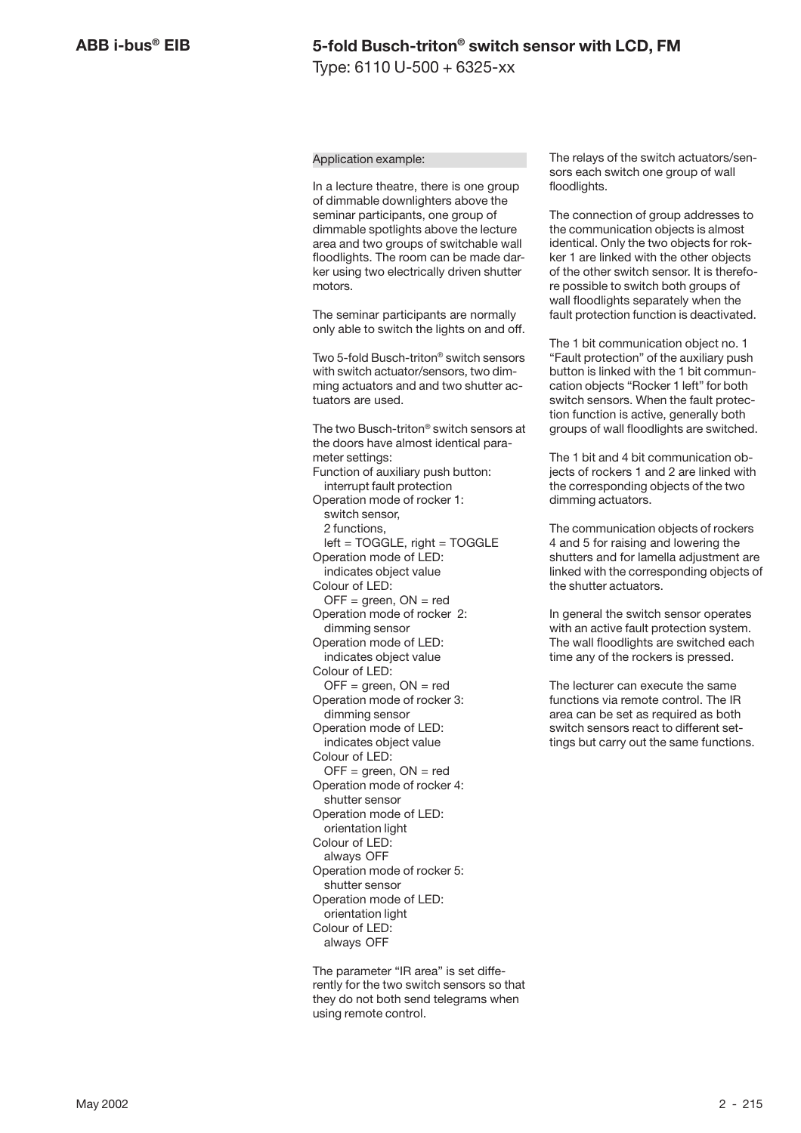#### Application example:

In a lecture theatre, there is one group of dimmable downlighters above the seminar participants, one group of dimmable spotlights above the lecture area and two groups of switchable wall floodlights. The room can be made darker using two electrically driven shutter motors.

The seminar participants are normally only able to switch the lights on and off.

Two 5-fold Busch-triton® switch sensors with switch actuator/sensors, two dimming actuators and and two shutter actuators are used.

The two Busch-triton® switch sensors at the doors have almost identical parameter settings: Function of auxiliary push button: interrupt fault protection Operation mode of rocker 1: switch sensor, 2 functions, left = TOGGLE, right = TOGGLE Operation mode of LED: indicates object value Colour of LED:  $OFF = green, ON = red$ Operation mode of rocker 2: dimming sensor Operation mode of LED: indicates object value Colour of LED:  $OFF = green, ON = red$ Operation mode of rocker 3: dimming sensor Operation mode of LED: indicates object value Colour of LED:  $OFF = green, ON = red$ Operation mode of rocker 4: shutter sensor Operation mode of LED: orientation light Colour of LED: always OFF Operation mode of rocker 5: shutter sensor Operation mode of LED: orientation light Colour of LED: always OFF

The parameter "IR area" is set differently for the two switch sensors so that they do not both send telegrams when using remote control.

The relays of the switch actuators/sensors each switch one group of wall floodlights.

The connection of group addresses to the communication objects is almost identical. Only the two objects for rokker 1 are linked with the other objects of the other switch sensor. It is therefore possible to switch both groups of wall floodlights separately when the fault protection function is deactivated.

The 1 bit communication object no. 1 "Fault protection" of the auxiliary push button is linked with the 1 bit communcation objects "Rocker 1 left" for both switch sensors. When the fault protection function is active, generally both groups of wall floodlights are switched.

The 1 bit and 4 bit communication objects of rockers 1 and 2 are linked with the corresponding objects of the two dimming actuators.

The communication objects of rockers 4 and 5 for raising and lowering the shutters and for lamella adjustment are linked with the corresponding objects of the shutter actuators.

In general the switch sensor operates with an active fault protection system. The wall floodlights are switched each time any of the rockers is pressed.

The lecturer can execute the same functions via remote control. The IR area can be set as required as both switch sensors react to different settings but carry out the same functions.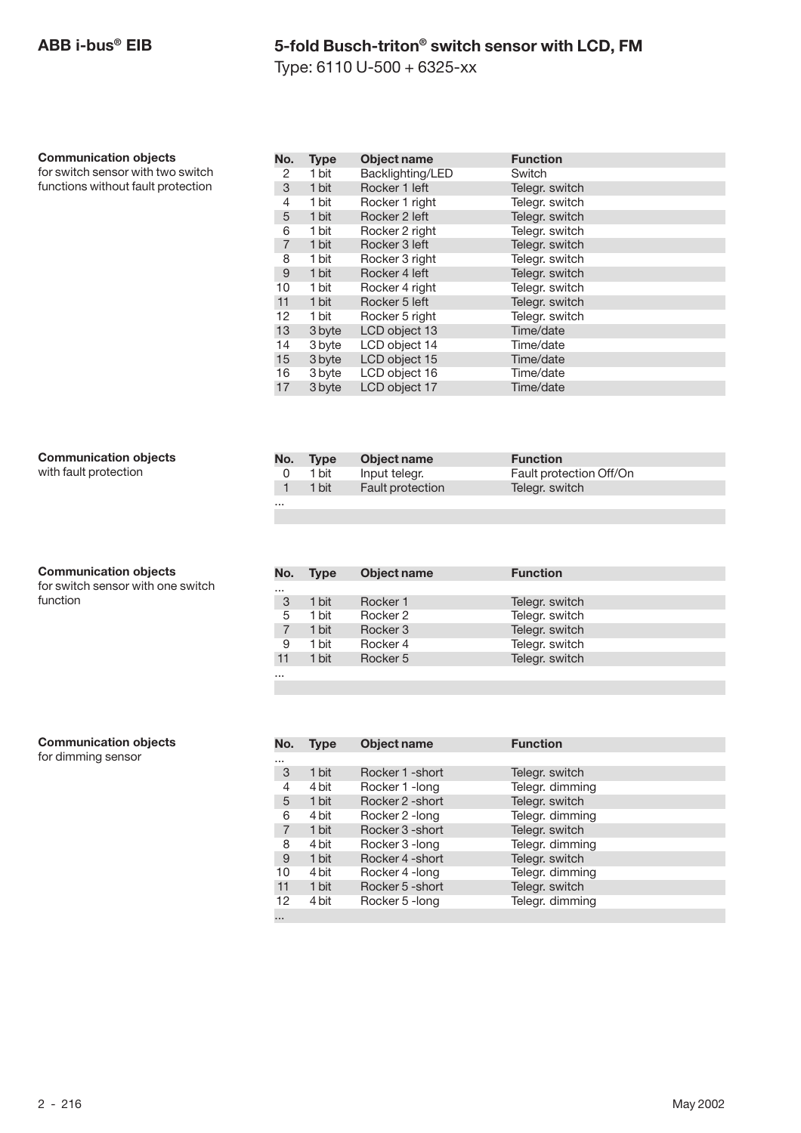Type: 6110 U-500 + 6325-xx

#### **Communication objects**

for switch sensor with two switch functions without fault protection

| No.            | <b>Type</b> | <b>Object name</b> | <b>Function</b> |
|----------------|-------------|--------------------|-----------------|
| 2              | 1 bit       | Backlighting/LED   | Switch          |
| 3              | 1 bit       | Rocker 1 left      | Telegr. switch  |
| 4              | 1 bit       | Rocker 1 right     | Telegr. switch  |
| 5              | 1 bit       | Rocker 2 left      | Telegr. switch  |
| 6              | 1 bit       | Rocker 2 right     | Telegr. switch  |
| $\overline{7}$ | 1 bit       | Rocker 3 left      | Telegr. switch  |
| 8              | 1 bit       | Rocker 3 right     | Telegr. switch  |
| 9              | 1 bit       | Rocker 4 left      | Telegr. switch  |
| 10             | 1 bit       | Rocker 4 right     | Telegr. switch  |
| 11             | 1 bit       | Rocker 5 left      | Telegr. switch  |
| 12             | 1 bit       | Rocker 5 right     | Telegr. switch  |
| 13             | 3 byte      | LCD object 13      | Time/date       |
| 14             | 3 byte      | LCD object 14      | Time/date       |
| 15             | 3 byte      | LCD object 15      | Time/date       |
| 16             | 3 byte      | LCD object 16      | Time/date       |
| 17             | 3 byte      | LCD object 17      | Time/date       |

#### **Communication objects**

with fault protection

### **Communication objects**

for switch sensor with one switch function

| No. | <b>Type</b> | Object name             | <b>Function</b>         |
|-----|-------------|-------------------------|-------------------------|
|     | 1 bit       | Input telegr.           | Fault protection Off/On |
|     | 1 bit       | <b>Fault protection</b> | Telegr. switch          |
|     |             |                         |                         |

| No.      | <b>Type</b> | Object name | <b>Function</b> |  |
|----------|-------------|-------------|-----------------|--|
| $\cdots$ |             |             |                 |  |
| 3        | 1 bit       | Rocker 1    | Telegr. switch  |  |
| 5        | 1 bit       | Rocker 2    | Telegr. switch  |  |
|          | 1 bit       | Rocker 3    | Telegr. switch  |  |
| 9        | 1 bit       | Rocker 4    | Telegr. switch  |  |
| 11       | 1 bit       | Rocker 5    | Telegr. switch  |  |
| $\cdots$ |             |             |                 |  |

#### **Communication objects**

for dimming sensor

| No.            | Type  | Object name      | <b>Function</b> |
|----------------|-------|------------------|-----------------|
| $\cdots$       |       |                  |                 |
| 3              | 1 bit | Rocker 1 - short | Telegr. switch  |
| 4              | 4 bit | Rocker 1 - long  | Telegr. dimming |
| 5              | 1 bit | Rocker 2 - short | Telegr. switch  |
| 6              | 4 bit | Rocker 2 -long   | Telegr. dimming |
| $\overline{7}$ | 1 bit | Rocker 3 - short | Telegr. switch  |
| 8              | 4 bit | Rocker 3 - long  | Telegr. dimming |
| 9              | 1 bit | Rocker 4 - short | Telegr. switch  |
| 10             | 4 bit | Rocker 4 - long  | Telegr. dimming |
| 11             | 1 bit | Rocker 5 - short | Telegr. switch  |
| 12             | 4 bit | Rocker 5 - long  | Telegr. dimming |
| 1.11           |       |                  |                 |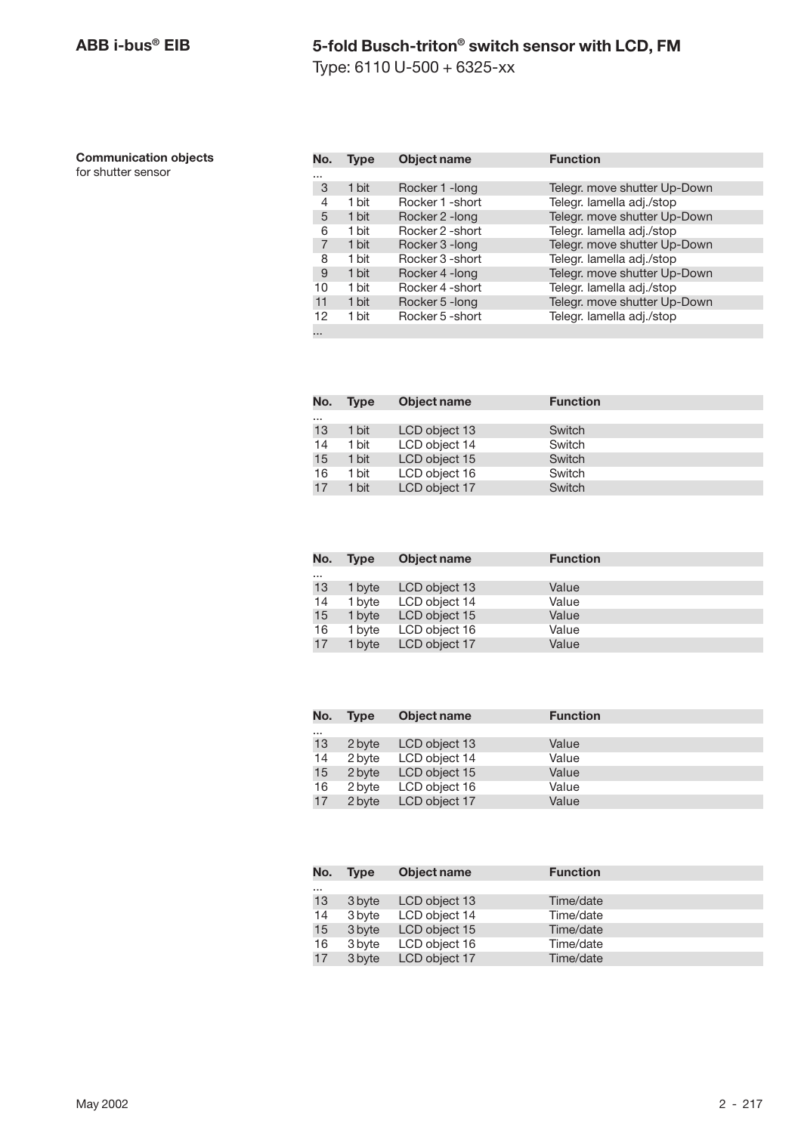Type: 6110 U-500 + 6325-xx

| <b>Communication objects</b> |  |
|------------------------------|--|
|------------------------------|--|

for shutter sensor

| No. | Type  | <b>Object name</b> | <b>Function</b>              |
|-----|-------|--------------------|------------------------------|
|     |       |                    |                              |
| 3   | 1 bit | Rocker 1 - long    | Telegr. move shutter Up-Down |
| 4   | 1 bit | Rocker 1 - short   | Telegr. lamella adj./stop    |
| 5   | 1 bit | Rocker 2 - long    | Telegr. move shutter Up-Down |
| 6   | 1 bit | Rocker 2 - short   | Telegr. lamella adj./stop    |
| 7   | 1 bit | Rocker 3 - long    | Telegr. move shutter Up-Down |
| 8   | 1 bit | Rocker 3 - short   | Telegr. lamella adj./stop    |
| 9   | 1 bit | Rocker 4 - long    | Telegr. move shutter Up-Down |
| 10  | 1 bit | Rocker 4 -short    | Telegr. lamella adj./stop    |
| 11  | 1 bit | Rocker 5 - long    | Telegr. move shutter Up-Down |
| 12  | 1 bit | Rocker 5 - short   | Telegr. lamella adj./stop    |
|     |       |                    |                              |

| No.      | <b>Type</b> | Object name   | <b>Function</b> |  |
|----------|-------------|---------------|-----------------|--|
| $\cdots$ |             |               |                 |  |
| 13       | 1 bit       | LCD object 13 | Switch          |  |
| 14       | 1 bit       | LCD object 14 | Switch          |  |
| 15       | 1 bit       | LCD object 15 | Switch          |  |
| 16       | 1 bit       | LCD object 16 | Switch          |  |
| 17       | 1 bit       | LCD object 17 | Switch          |  |

| No.      | <b>Type</b> | Object name   | <b>Function</b> |
|----------|-------------|---------------|-----------------|
| $\cdots$ |             |               |                 |
| 13       | 1 byte      | LCD object 13 | Value           |
| 14       | 1 byte      | LCD object 14 | Value           |
| 15       | 1 byte      | LCD object 15 | Value           |
| 16       | 1 byte      | LCD object 16 | Value           |
| 17       | 1 byte      | LCD object 17 | Value           |

| No.      | <b>Type</b> | Object name   | <b>Function</b> |  |
|----------|-------------|---------------|-----------------|--|
| $\cdots$ |             |               |                 |  |
| 13       | 2 byte      | LCD object 13 | Value           |  |
| 14       | 2 byte      | LCD object 14 | Value           |  |
| 15       | 2 byte      | LCD object 15 | Value           |  |
| 16       | 2 byte      | LCD object 16 | Value           |  |
| 17       | 2 byte      | LCD object 17 | Value           |  |

| No.      | <b>Type</b> | Object name   | <b>Function</b> |  |
|----------|-------------|---------------|-----------------|--|
| $\cdots$ |             |               |                 |  |
| 13       | 3 byte      | LCD object 13 | Time/date       |  |
| 14       | 3 byte      | LCD object 14 | Time/date       |  |
| 15       | 3 byte      | LCD object 15 | Time/date       |  |
| 16       | 3 byte      | LCD object 16 | Time/date       |  |
| 17       | 3 byte      | LCD object 17 | Time/date       |  |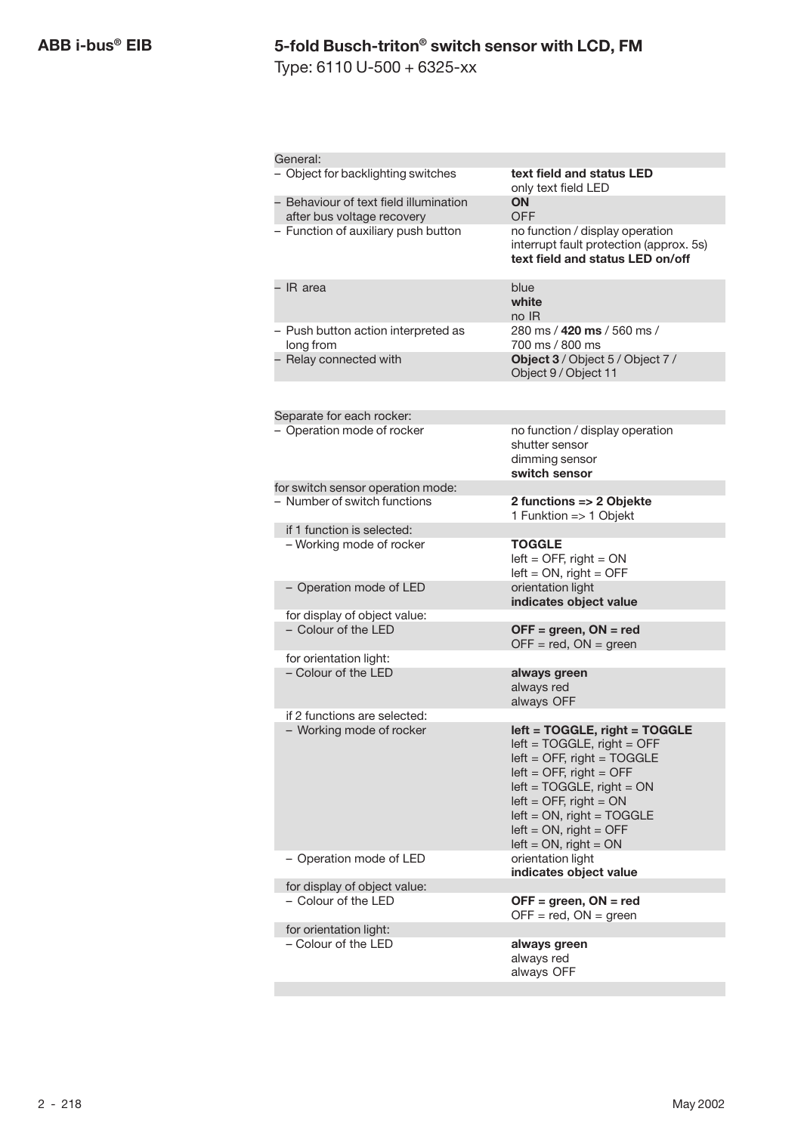Type: 6110 U-500 + 6325-xx

| General:                                                             |                                                                                                                                                                                                                                                                               |
|----------------------------------------------------------------------|-------------------------------------------------------------------------------------------------------------------------------------------------------------------------------------------------------------------------------------------------------------------------------|
| - Object for backlighting switches                                   | text field and status LED<br>only text field LED                                                                                                                                                                                                                              |
| - Behaviour of text field illumination<br>after bus voltage recovery | ON<br><b>OFF</b>                                                                                                                                                                                                                                                              |
| - Function of auxiliary push button                                  | no function / display operation<br>interrupt fault protection (approx. 5s)<br>text field and status LED on/off                                                                                                                                                                |
| - IR area                                                            | blue<br>white<br>no IR                                                                                                                                                                                                                                                        |
| - Push button action interpreted as<br>long from                     | 280 ms / 420 ms / 560 ms /<br>700 ms / 800 ms                                                                                                                                                                                                                                 |
| - Relay connected with                                               | Object 3 / Object 5 / Object 7 /<br>Object 9 / Object 11                                                                                                                                                                                                                      |
|                                                                      |                                                                                                                                                                                                                                                                               |
| Separate for each rocker:<br>- Operation mode of rocker              | no function / display operation<br>shutter sensor<br>dimming sensor<br>switch sensor                                                                                                                                                                                          |
| for switch sensor operation mode:                                    |                                                                                                                                                                                                                                                                               |
| - Number of switch functions                                         | 2 functions => 2 Objekte<br>1 Funktion => 1 Objekt                                                                                                                                                                                                                            |
| if 1 function is selected:                                           |                                                                                                                                                                                                                                                                               |
| - Working mode of rocker                                             | <b>TOGGLE</b><br>$left =$ OFF, right = ON<br>$left = ON$ , right = OFF                                                                                                                                                                                                        |
| - Operation mode of LED                                              | orientation light<br>indicates object value                                                                                                                                                                                                                                   |
| for display of object value:<br>- Colour of the LED                  | $OFF = green, ON = red$<br>$OFF = red$ , $ON = green$                                                                                                                                                                                                                         |
| for orientation light:                                               |                                                                                                                                                                                                                                                                               |
| - Colour of the LED                                                  | always green<br>always red<br>always OFF                                                                                                                                                                                                                                      |
| if 2 functions are selected:                                         |                                                                                                                                                                                                                                                                               |
| - Working mode of rocker                                             | left = TOGGLE, right = TOGGLE<br>left = TOGGLE, right = OFF<br>$left =$ OFF, right = TOGGLE<br>$left =$ OFF, right = OFF<br>$left = TOGGLE$ , right = ON<br>$left =$ OFF, right = ON<br>$left = ON$ , right = TOGGLE<br>$left = ON$ , right = OFF<br>$left = ON$ , right = ON |
| - Operation mode of LED                                              | orientation light<br>indicates object value                                                                                                                                                                                                                                   |
| for display of object value:                                         |                                                                                                                                                                                                                                                                               |
| – Colour of the LED                                                  | $OFF = green, ON = red$<br>$OFF = red$ , $ON = green$                                                                                                                                                                                                                         |
| for orientation light:                                               |                                                                                                                                                                                                                                                                               |
| – Colour of the LED                                                  | always green<br>always red<br>always OFF                                                                                                                                                                                                                                      |
|                                                                      |                                                                                                                                                                                                                                                                               |